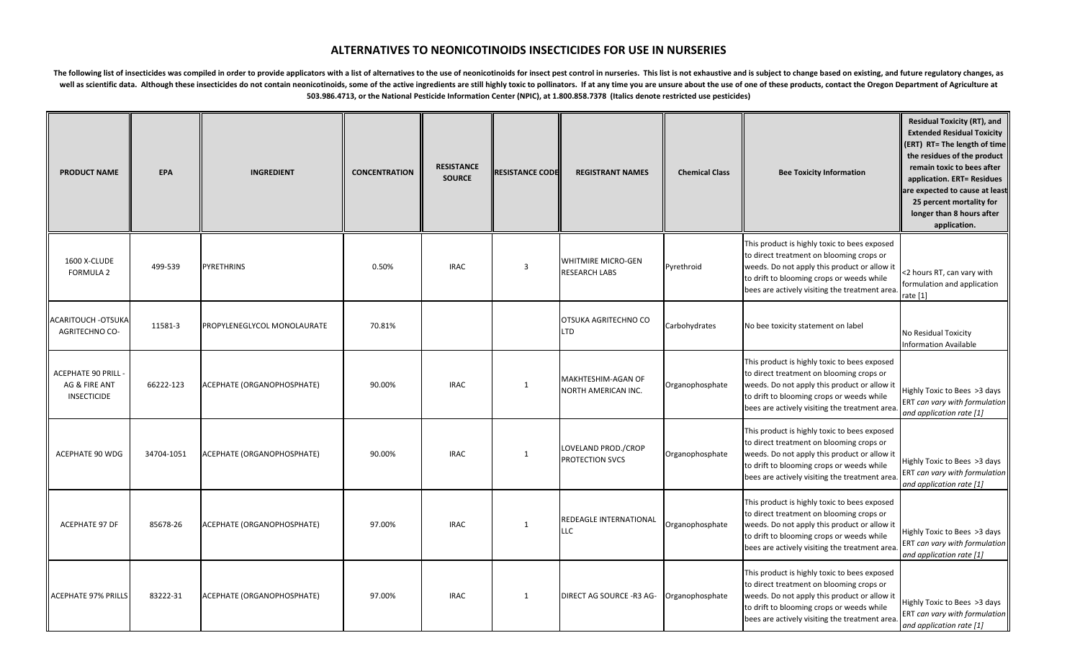## **ALTERNATIVES TO NEONICOTINOIDS INSECTICIDES FOR USE IN NURSERIES**

The following list of insecticides was compiled in order to provide applicators with a list of alternatives to the use of neonicotinoids for insect pest control in nurseries. This list is not exhaustive and is subject to c well as scientific data. Although these insecticides do not contain neonicotinoids, some of the active ingredients are still highly toxic to pollinators. If at any time you are unsure about the use of one of these products 503.986.4713, or the National Pesticide Information Center (NPIC), at 1.800.858.7378 (Italics denote restricted use pesticides)

| <b>PRODUCT NAME</b>                                             | <b>EPA</b> | <b>INGREDIENT</b>           | <b>CONCENTRATION</b> | <b>RESISTANCE</b><br><b>SOURCE</b> | <b>RESISTANCE CODE</b> | <b>REGISTRANT NAMES</b>                           | <b>Chemical Class</b> | <b>Bee Toxicity Information</b>                                                                                                                                                                                                        | <b>Residual Toxicity (RT), and</b><br><b>Extended Residual Toxicity</b><br>(ERT) RT= The length of time<br>the residues of the product<br>remain toxic to bees after<br>application. ERT= Residues<br>are expected to cause at least<br>25 percent mortality for<br>longer than 8 hours after<br>application. |
|-----------------------------------------------------------------|------------|-----------------------------|----------------------|------------------------------------|------------------------|---------------------------------------------------|-----------------------|----------------------------------------------------------------------------------------------------------------------------------------------------------------------------------------------------------------------------------------|---------------------------------------------------------------------------------------------------------------------------------------------------------------------------------------------------------------------------------------------------------------------------------------------------------------|
| 1600 X-CLUDE<br><b>FORMULA 2</b>                                | 499-539    | PYRETHRINS                  | 0.50%                | <b>IRAC</b>                        | $\overline{3}$         | <b>WHITMIRE MICRO-GEN</b><br><b>RESEARCH LABS</b> | Pyrethroid            | This product is highly toxic to bees exposed<br>to direct treatment on blooming crops or<br>weeds. Do not apply this product or allow it<br>to drift to blooming crops or weeds while<br>bees are actively visiting the treatment area | <2 hours RT, can vary with<br>formulation and application<br>rate [1]                                                                                                                                                                                                                                         |
| \CARITOUCH -OTSUKA <br><b>AGRITECHNO CO-</b>                    | 11581-3    | PROPYLENEGLYCOL MONOLAURATE | 70.81%               |                                    |                        | OTSUKA AGRITECHNO CO<br>LTD                       | Carbohydrates         | No bee toxicity statement on label                                                                                                                                                                                                     | No Residual Toxicity<br><b>Information Available</b>                                                                                                                                                                                                                                                          |
| <b>ACEPHATE 90 PRILL</b><br>AG & FIRE ANT<br><b>INSECTICIDE</b> | 66222-123  | ACEPHATE (ORGANOPHOSPHATE)  | 90.00%               | <b>IRAC</b>                        | $\mathbf{1}$           | MAKHTESHIM-AGAN OF<br>NORTH AMERICAN INC.         | Organophosphate       | This product is highly toxic to bees exposed<br>to direct treatment on blooming crops or<br>weeds. Do not apply this product or allow it<br>to drift to blooming crops or weeds while<br>bees are actively visiting the treatment area | Highly Toxic to Bees >3 days<br>ERT can vary with formulation<br>and application rate [1]                                                                                                                                                                                                                     |
| ACEPHATE 90 WDG                                                 | 34704-1051 | ACEPHATE (ORGANOPHOSPHATE)  | 90.00%               | <b>IRAC</b>                        | $\mathbf{1}$           | LOVELAND PROD./CROP<br><b>PROTECTION SVCS</b>     | Organophosphate       | This product is highly toxic to bees exposed<br>to direct treatment on blooming crops or<br>weeds. Do not apply this product or allow it<br>to drift to blooming crops or weeds while<br>bees are actively visiting the treatment area | Highly Toxic to Bees >3 days<br>ERT can vary with formulation<br>and application rate [1]                                                                                                                                                                                                                     |
| ACEPHATE 97 DF                                                  | 85678-26   | ACEPHATE (ORGANOPHOSPHATE)  | 97.00%               | <b>IRAC</b>                        | $\mathbf{1}$           | <b>REDEAGLE INTERNATIONAL</b><br><b>LLC</b>       | Organophosphate       | This product is highly toxic to bees exposed<br>to direct treatment on blooming crops or<br>weeds. Do not apply this product or allow it<br>to drift to blooming crops or weeds while<br>bees are actively visiting the treatment area | Highly Toxic to Bees >3 days<br>ERT can vary with formulation<br>and application rate [1]                                                                                                                                                                                                                     |
| <b>ACEPHATE 97% PRILLS</b>                                      | 83222-31   | ACEPHATE (ORGANOPHOSPHATE)  | 97.00%               | <b>IRAC</b>                        | $\mathbf{1}$           | DIRECT AG SOURCE -R3 AG-                          | Organophosphate       | This product is highly toxic to bees exposed<br>to direct treatment on blooming crops or<br>weeds. Do not apply this product or allow it<br>to drift to blooming crops or weeds while<br>bees are actively visiting the treatment area | Highly Toxic to Bees >3 days<br>ERT can vary with formulation<br>and application rate [1]                                                                                                                                                                                                                     |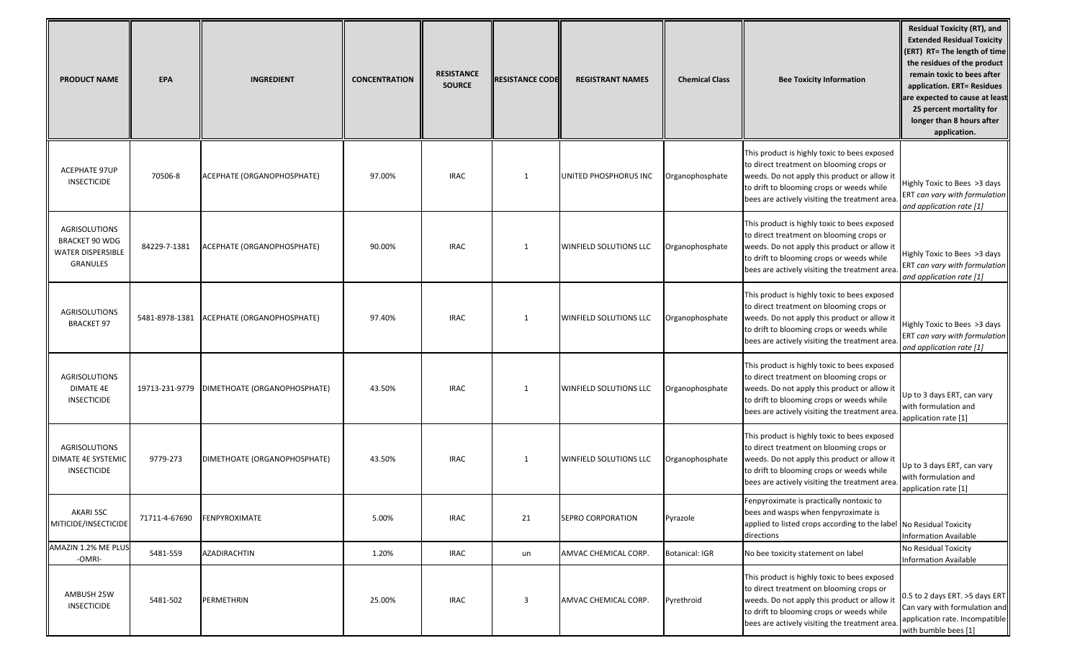| <b>PRODUCT NAME</b>                                                                          | <b>EPA</b>    | <b>INGREDIENT</b>                             | <b>CONCENTRATION</b> | <b>RESISTANCE</b><br><b>SOURCE</b> | <b>RESISTANCE CODE</b> | <b>REGISTRANT NAMES</b>       | <b>Chemical Class</b> | <b>Bee Toxicity Information</b>                                                                                                                                                                                                         | <b>Residual Toxicity (RT), and</b><br><b>Extended Residual Toxicity</b><br>(ERT) RT= The length of time<br>the residues of the product<br>remain toxic to bees after<br>application. ERT= Residues<br>are expected to cause at least<br>25 percent mortality for<br>longer than 8 hours after<br>application. |
|----------------------------------------------------------------------------------------------|---------------|-----------------------------------------------|----------------------|------------------------------------|------------------------|-------------------------------|-----------------------|-----------------------------------------------------------------------------------------------------------------------------------------------------------------------------------------------------------------------------------------|---------------------------------------------------------------------------------------------------------------------------------------------------------------------------------------------------------------------------------------------------------------------------------------------------------------|
| ACEPHATE 97UP<br><b>INSECTICIDE</b>                                                          | 70506-8       | ACEPHATE (ORGANOPHOSPHATE)                    | 97.00%               | <b>IRAC</b>                        | 1                      | UNITED PHOSPHORUS INC         | Organophosphate       | This product is highly toxic to bees exposed<br>to direct treatment on blooming crops or<br>weeds. Do not apply this product or allow it<br>to drift to blooming crops or weeds while<br>bees are actively visiting the treatment area. | Highly Toxic to Bees >3 days<br>ERT can vary with formulation<br>and application rate [1]                                                                                                                                                                                                                     |
| <b>AGRISOLUTIONS</b><br><b>BRACKET 90 WDG</b><br><b>WATER DISPERSIBLE</b><br><b>GRANULES</b> | 84229-7-1381  | ACEPHATE (ORGANOPHOSPHATE)                    | 90.00%               | <b>IRAC</b>                        | 1                      | <b>WINFIELD SOLUTIONS LLC</b> | Organophosphate       | This product is highly toxic to bees exposed<br>to direct treatment on blooming crops or<br>weeds. Do not apply this product or allow it<br>to drift to blooming crops or weeds while<br>bees are actively visiting the treatment area. | Highly Toxic to Bees >3 days<br>ERT can vary with formulation<br>and application rate [1]                                                                                                                                                                                                                     |
| AGRISOLUTIONS<br><b>BRACKET 97</b>                                                           |               | 5481-8978-1381 ACEPHATE (ORGANOPHOSPHATE)     | 97.40%               | <b>IRAC</b>                        | 1                      | <b>WINFIELD SOLUTIONS LLC</b> | Organophosphate       | This product is highly toxic to bees exposed<br>to direct treatment on blooming crops or<br>weeds. Do not apply this product or allow it<br>to drift to blooming crops or weeds while<br>bees are actively visiting the treatment area. | Highly Toxic to Bees >3 days<br>ERT can vary with formulation<br>and application rate [1]                                                                                                                                                                                                                     |
| <b>AGRISOLUTIONS</b><br>DIMATE 4E<br><b>INSECTICIDE</b>                                      |               | 19713-231-9779   DIMETHOATE (ORGANOPHOSPHATE) | 43.50%               | <b>IRAC</b>                        | 1                      | <b>WINFIELD SOLUTIONS LLC</b> | Organophosphate       | This product is highly toxic to bees exposed<br>to direct treatment on blooming crops or<br>weeds. Do not apply this product or allow it<br>to drift to blooming crops or weeds while<br>bees are actively visiting the treatment area. | Up to 3 days ERT, can vary<br>with formulation and<br>application rate [1]                                                                                                                                                                                                                                    |
| AGRISOLUTIONS<br>DIMATE 4E SYSTEMIC<br><b>INSECTICIDE</b>                                    | 9779-273      | DIMETHOATE (ORGANOPHOSPHATE)                  | 43.50%               | <b>IRAC</b>                        | 1                      | <b>WINFIELD SOLUTIONS LLC</b> | Organophosphate       | This product is highly toxic to bees exposed<br>to direct treatment on blooming crops or<br>weeds. Do not apply this product or allow it<br>to drift to blooming crops or weeds while<br>bees are actively visiting the treatment area. | Up to 3 days ERT, can vary<br>with formulation and<br>application rate [1]                                                                                                                                                                                                                                    |
| AKARI 5SC<br>MITICIDE/INSECTICIDE                                                            | 71711-4-67690 | FENPYROXIMATE                                 | 5.00%                | <b>IRAC</b>                        | 21                     | <b>SEPRO CORPORATION</b>      | Pyrazole              | [Fenpyroximate is practically nontoxic to]<br>bees and wasps when fenpyroximate is<br>applied to listed crops according to the label No Residual Toxicity<br>directions                                                                 | <b>Information Available</b>                                                                                                                                                                                                                                                                                  |
| AMAZIN 1.2% ME PLUS<br>-OMRI-                                                                | 5481-559      | <b>AZADIRACHTIN</b>                           | 1.20%                | <b>IRAC</b>                        | un                     | AMVAC CHEMICAL CORP.          | Botanical: IGR        | No bee toxicity statement on label                                                                                                                                                                                                      | No Residual Toxicity<br>Information Available                                                                                                                                                                                                                                                                 |
| AMBUSH 25W<br><b>INSECTICIDE</b>                                                             | 5481-502      | PERMETHRIN                                    | 25.00%               | <b>IRAC</b>                        | 3                      | AMVAC CHEMICAL CORP.          | Pyrethroid            | This product is highly toxic to bees exposed<br>to direct treatment on blooming crops or<br>weeds. Do not apply this product or allow it<br>to drift to blooming crops or weeds while<br>bees are actively visiting the treatment area. | 0.5 to 2 days ERT. >5 days ERT<br>Can vary with formulation and<br>application rate. Incompatible<br>with bumble bees [1]                                                                                                                                                                                     |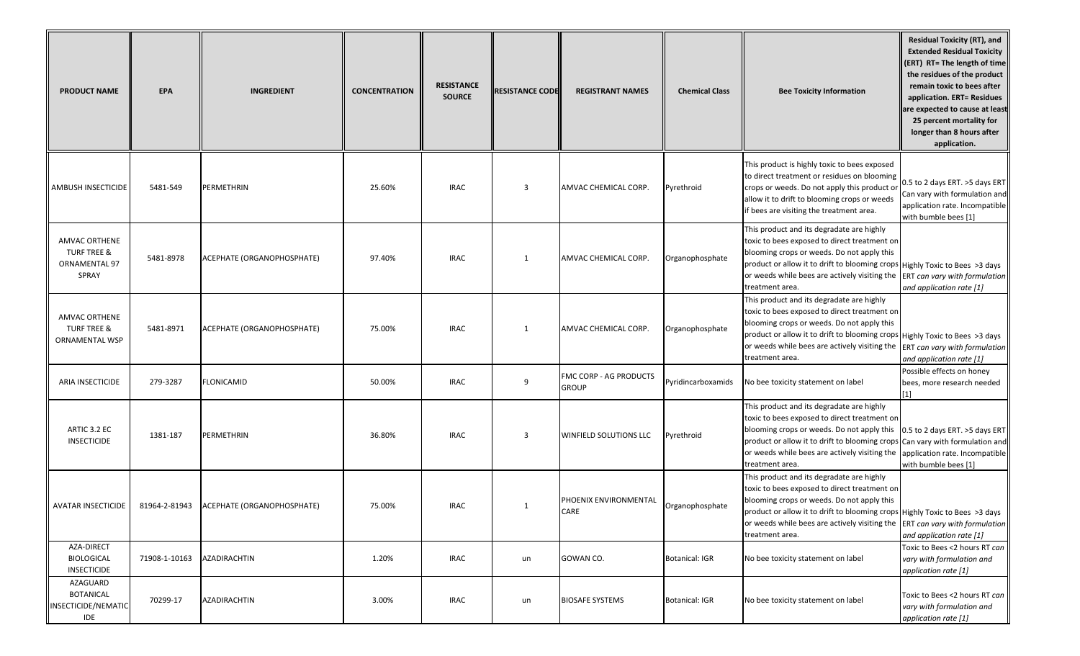| <b>PRODUCT NAME</b>                                                      | EPA           | <b>INGREDIENT</b>                        | <b>CONCENTRATION</b> | <b>RESISTANCE</b><br><b>SOURCE</b> | <b>RESISTANCE CODE</b> | <b>REGISTRANT NAMES</b>                | <b>Chemical Class</b> | <b>Bee Toxicity Information</b>                                                                                                                                                                                                                                                                                          | <b>Residual Toxicity (RT), and</b><br><b>Extended Residual Toxicity</b><br>(ERT) RT= The length of time<br>the residues of the product<br>remain toxic to bees after<br>application. ERT= Residues<br>are expected to cause at least<br>25 percent mortality for<br>longer than 8 hours after<br>application. |
|--------------------------------------------------------------------------|---------------|------------------------------------------|----------------------|------------------------------------|------------------------|----------------------------------------|-----------------------|--------------------------------------------------------------------------------------------------------------------------------------------------------------------------------------------------------------------------------------------------------------------------------------------------------------------------|---------------------------------------------------------------------------------------------------------------------------------------------------------------------------------------------------------------------------------------------------------------------------------------------------------------|
| <b>AMBUSH INSECTICIDE</b>                                                | 5481-549      | PERMETHRIN                               | 25.60%               | <b>IRAC</b>                        | 3                      | AMVAC CHEMICAL CORP.                   | Pyrethroid            | This product is highly toxic to bees exposed<br>to direct treatment or residues on blooming<br>crops or weeds. Do not apply this product or<br>allow it to drift to blooming crops or weeds<br>if bees are visiting the treatment area.                                                                                  | 0.5 to 2 days ERT. >5 days ERT<br>Can vary with formulation and<br>application rate. Incompatible<br>with bumble bees [1]                                                                                                                                                                                     |
| <b>AMVAC ORTHENE</b><br><b>TURF TREE &amp;</b><br>ORNAMENTAL 97<br>SPRAY | 5481-8978     | ACEPHATE (ORGANOPHOSPHATE)               | 97.40%               | <b>IRAC</b>                        | 1                      | AMVAC CHEMICAL CORP.                   | Organophosphate       | This product and its degradate are highly<br>toxic to bees exposed to direct treatment on<br>blooming crops or weeds. Do not apply this<br>product or allow it to drift to blooming crops   Highly Toxic to Bees >3 days<br>or weeds while bees are actively visiting the<br>treatment area.                             | <b>ERT</b> can vary with formulation<br>and application rate [1]                                                                                                                                                                                                                                              |
| AMVAC ORTHENE<br><b>TURF TREE &amp;</b><br>ORNAMENTAL WSP                | 5481-8971     | ACEPHATE (ORGANOPHOSPHATE)               | 75.00%               | <b>IRAC</b>                        | 1                      | AMVAC CHEMICAL CORP.                   | Organophosphate       | This product and its degradate are highly<br>toxic to bees exposed to direct treatment on<br>blooming crops or weeds. Do not apply this<br>product or allow it to drift to blooming crops Highly Toxic to Bees >3 days<br>or weeds while bees are actively visiting the<br>treatment area.                               | ERT can vary with formulation<br>and application rate [1]                                                                                                                                                                                                                                                     |
| ARIA INSECTICIDE                                                         | 279-3287      | <b>FLONICAMID</b>                        | 50.00%               | <b>IRAC</b>                        | 9                      | FMC CORP - AG PRODUCTS<br><b>GROUP</b> | Pyridincarboxamids    | No bee toxicity statement on label                                                                                                                                                                                                                                                                                       | Possible effects on honey<br>bees, more research needed<br>[1]                                                                                                                                                                                                                                                |
| ARTIC 3.2 EC<br><b>INSECTICIDE</b>                                       | 1381-187      | PERMETHRIN                               | 36.80%               | <b>IRAC</b>                        | 3                      | <b>WINFIELD SOLUTIONS LLC</b>          | Pyrethroid            | This product and its degradate are highly<br>toxic to bees exposed to direct treatment on<br>blooming crops or weeds. Do not apply this<br>product or allow it to drift to blooming crops Can vary with formulation and<br>or weeds while bees are actively visiting the<br>treatment area.                              | 0.5 to 2 days ERT. >5 days ERT<br>application rate. Incompatible<br>with bumble bees [1]                                                                                                                                                                                                                      |
| AVATAR INSECTICIDE                                                       |               | 81964-2-81943 ACEPHATE (ORGANOPHOSPHATE) | 75.00%               | <b>IRAC</b>                        | 1                      | PHOENIX ENVIRONMENTAL<br><b>CARE</b>   | Organophosphate       | This product and its degradate are highly<br>toxic to bees exposed to direct treatment on<br>blooming crops or weeds. Do not apply this<br>product or allow it to drift to blooming crops Highly Toxic to Bees >3 days<br>or weeds while bees are actively visiting the ERT can vary with formulation<br>treatment area. | and application rate [1]                                                                                                                                                                                                                                                                                      |
| AZA-DIRECT<br>BIOLOGICAL<br><b>INSECTICIDE</b>                           | 71908-1-10163 | AZADIRACHTIN                             | 1.20%                | <b>IRAC</b>                        | un                     | GOWAN CO.                              | Botanical: IGR        | No bee toxicity statement on label                                                                                                                                                                                                                                                                                       | Toxic to Bees <2 hours RT can<br>vary with formulation and<br>application rate [1]                                                                                                                                                                                                                            |
| AZAGUARD<br><b>BOTANICAL</b><br>INSECTICIDE/NEMATIC<br>IDE               | 70299-17      | AZADIRACHTIN                             | 3.00%                | <b>IRAC</b>                        | un                     | <b>BIOSAFE SYSTEMS</b>                 | Botanical: IGR        | No bee toxicity statement on label                                                                                                                                                                                                                                                                                       | Toxic to Bees <2 hours RT can<br>vary with formulation and<br>application rate [1]                                                                                                                                                                                                                            |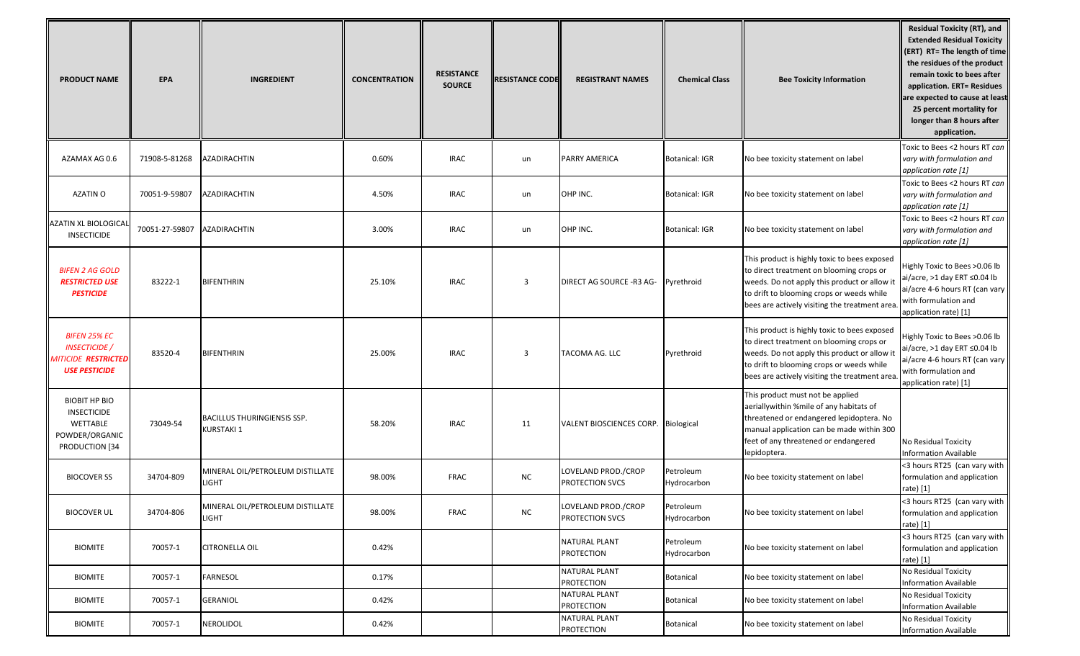| <b>PRODUCT NAME</b>                                                                                      | <b>EPA</b>     | <b>INGREDIENT</b>                                | <b>CONCENTRATION</b> | <b>RESISTANCE</b><br><b>SOURCE</b> | <b>RESISTANCE CODE</b> | <b>REGISTRANT NAMES</b>                | <b>Chemical Class</b>    | <b>Bee Toxicity Information</b>                                                                                                                                                                                                         | <b>Residual Toxicity (RT), and</b><br><b>Extended Residual Toxicity</b><br>(ERT) RT= The length of time<br>the residues of the product<br>remain toxic to bees after<br>application. ERT= Residues<br>are expected to cause at least<br>25 percent mortality for<br>longer than 8 hours after<br>application. |
|----------------------------------------------------------------------------------------------------------|----------------|--------------------------------------------------|----------------------|------------------------------------|------------------------|----------------------------------------|--------------------------|-----------------------------------------------------------------------------------------------------------------------------------------------------------------------------------------------------------------------------------------|---------------------------------------------------------------------------------------------------------------------------------------------------------------------------------------------------------------------------------------------------------------------------------------------------------------|
| AZAMAX AG 0.6                                                                                            | 71908-5-81268  | AZADIRACHTIN                                     | 0.60%                | <b>IRAC</b>                        | un                     | <b>PARRY AMERICA</b>                   | <b>Botanical: IGR</b>    | No bee toxicity statement on label                                                                                                                                                                                                      | Toxic to Bees <2 hours RT can<br>vary with formulation and<br>application rate [1]                                                                                                                                                                                                                            |
| <b>AZATIN O</b>                                                                                          | 70051-9-59807  | AZADIRACHTIN                                     | 4.50%                | <b>IRAC</b>                        | un                     | OHP INC.                               | Botanical: IGR           | No bee toxicity statement on label                                                                                                                                                                                                      | Toxic to Bees <2 hours RT can<br>vary with formulation and<br>application rate [1]                                                                                                                                                                                                                            |
| AZATIN XL BIOLOGICAL<br><b>INSECTICIDE</b>                                                               | 70051-27-59807 | AZADIRACHTIN                                     | 3.00%                | <b>IRAC</b>                        | un                     | OHP INC.                               | Botanical: IGR           | No bee toxicity statement on label                                                                                                                                                                                                      | Toxic to Bees <2 hours RT can<br>vary with formulation and<br>application rate [1]                                                                                                                                                                                                                            |
| <b>BIFEN 2 AG GOLD</b><br><b>RESTRICTED USE</b><br><b>PESTICIDE</b>                                      | 83222-1        | BIFENTHRIN                                       | 25.10%               | <b>IRAC</b>                        | 3                      | DIRECT AG SOURCE -R3 AG-               | Pyrethroid               | This product is highly toxic to bees exposed<br>to direct treatment on blooming crops or<br>weeds. Do not apply this product or allow it<br>to drift to blooming crops or weeds while<br>bees are actively visiting the treatment area. | Highly Toxic to Bees > 0.06 lb<br>ai/acre, >1 day ERT ≤0.04 lb<br>ai/acre 4-6 hours RT (can vary<br>with formulation and<br>application rate) [1]                                                                                                                                                             |
| <b>BIFEN 25% EC</b><br><b>INSECTICIDE</b> /<br><i><b>MITICIDE RESTRICTED</b></i><br><b>USE PESTICIDE</b> | 83520-4        | BIFENTHRIN                                       | 25.00%               | <b>IRAC</b>                        | 3                      | TACOMA AG. LLC                         | Pyrethroid               | This product is highly toxic to bees exposed<br>to direct treatment on blooming crops or<br>weeds. Do not apply this product or allow it<br>to drift to blooming crops or weeds while<br>bees are actively visiting the treatment area  | Highly Toxic to Bees > 0.06 lb<br>ai/acre, >1 day ERT ≤0.04 lb<br>ai/acre 4-6 hours RT (can vary<br>with formulation and<br>application rate) [1]                                                                                                                                                             |
| <b>BIOBIT HP BIO</b><br><b>INSECTICIDE</b><br>WETTABLE<br>POWDER/ORGANIC<br>PRODUCTION [34               | 73049-54       | <b>BACILLUS THURINGIENSIS SSP.</b><br>KURSTAKI 1 | 58.20%               | <b>IRAC</b>                        | 11                     | VALENT BIOSCIENCES CORP.   Biological  |                          | This product must not be applied<br>aeriallywithin %mile of any habitats of<br>threatened or endangered lepidoptera. No<br>manual application can be made within 300<br>feet of any threatened or endangered<br>lepidoptera.            | No Residual Toxicity<br><b>Information Available</b>                                                                                                                                                                                                                                                          |
| <b>BIOCOVER SS</b>                                                                                       | 34704-809      | MINERAL OIL/PETROLEUM DISTILLATE<br><b>LIGHT</b> | 98.00%               | FRAC                               | <b>NC</b>              | LOVELAND PROD./CROP<br>PROTECTION SVCS | Petroleum<br>Hydrocarbon | No bee toxicity statement on label                                                                                                                                                                                                      | <3 hours RT25 (can vary with<br>formulation and application<br>rate) [1]                                                                                                                                                                                                                                      |
| <b>BIOCOVER UL</b>                                                                                       | 34704-806      | MINERAL OIL/PETROLEUM DISTILLATE<br><b>LIGHT</b> | 98.00%               | FRAC                               | ${\sf NC}$             | LOVELAND PROD./CROP<br>PROTECTION SVCS | Petroleum<br>Hydrocarbon | No bee toxicity statement on label                                                                                                                                                                                                      | <3 hours RT25 (can vary with<br>formulation and application<br>rate) $[1]$                                                                                                                                                                                                                                    |
| <b>BIOMITE</b>                                                                                           | 70057-1        | <b>CITRONELLA OIL</b>                            | 0.42%                |                                    |                        | NATURAL PLANT<br>PROTECTION            | Petroleum<br>Hydrocarbon | No bee toxicity statement on label                                                                                                                                                                                                      | <3 hours RT25 (can vary with<br>formulation and application<br>rate) $[1]$                                                                                                                                                                                                                                    |
| <b>BIOMITE</b>                                                                                           | 70057-1        | FARNESOL                                         | 0.17%                |                                    |                        | NATURAL PLANT<br><b>PROTECTION</b>     | Botanical                | No bee toxicity statement on label                                                                                                                                                                                                      | No Residual Toxicity<br><b>Information Available</b>                                                                                                                                                                                                                                                          |
| <b>BIOMITE</b>                                                                                           | 70057-1        | GERANIOL                                         | 0.42%                |                                    |                        | NATURAL PLANT<br><b>PROTECTION</b>     | Botanical                | No bee toxicity statement on label                                                                                                                                                                                                      | No Residual Toxicity<br><b>Information Available</b>                                                                                                                                                                                                                                                          |
| <b>BIOMITE</b>                                                                                           | 70057-1        | NEROLIDOL                                        | 0.42%                |                                    |                        | NATURAL PLANT<br><b>PROTECTION</b>     | Botanical                | No bee toxicity statement on label                                                                                                                                                                                                      | No Residual Toxicity<br>Information Available                                                                                                                                                                                                                                                                 |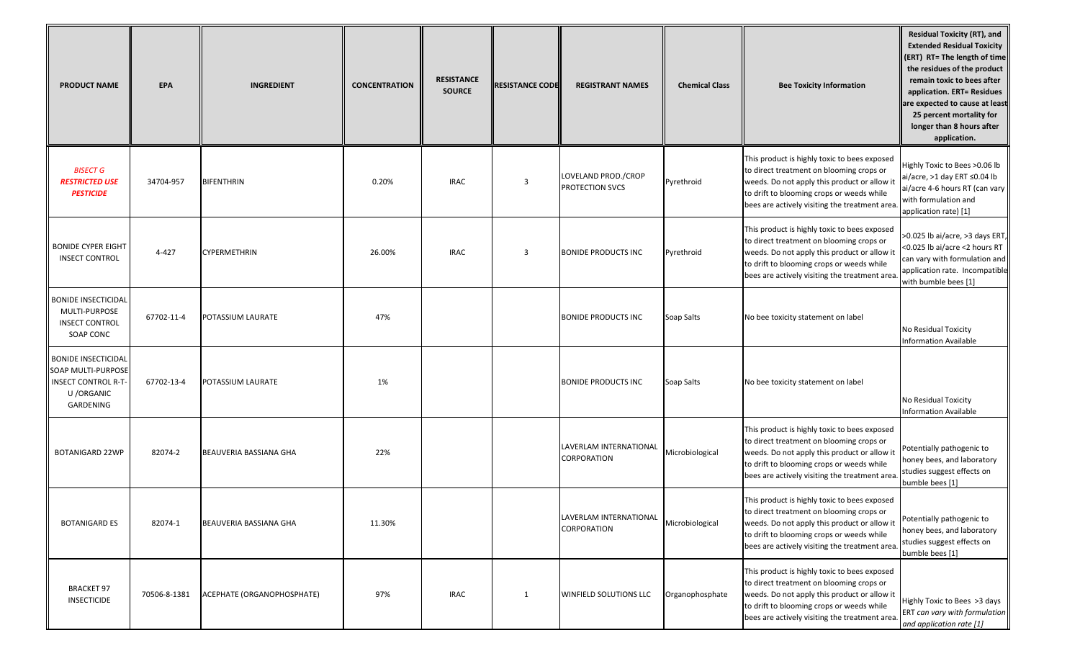| <b>PRODUCT NAME</b>                                                                                               | EPA          | <b>INGREDIENT</b>             | <b>CONCENTRATION</b> | <b>RESISTANCE</b><br><b>SOURCE</b> | <b>RESISTANCE CODE</b> | <b>REGISTRANT NAMES</b>                       | <b>Chemical Class</b> | <b>Bee Toxicity Information</b>                                                                                                                                                                                                         | <b>Residual Toxicity (RT), and</b><br><b>Extended Residual Toxicity</b><br>(ERT) RT= The length of time<br>the residues of the product<br>remain toxic to bees after<br>application. ERT= Residues<br>are expected to cause at least<br>25 percent mortality for<br>longer than 8 hours after<br>application. |
|-------------------------------------------------------------------------------------------------------------------|--------------|-------------------------------|----------------------|------------------------------------|------------------------|-----------------------------------------------|-----------------------|-----------------------------------------------------------------------------------------------------------------------------------------------------------------------------------------------------------------------------------------|---------------------------------------------------------------------------------------------------------------------------------------------------------------------------------------------------------------------------------------------------------------------------------------------------------------|
| <b>BISECT G</b><br><b>RESTRICTED USE</b><br><b>PESTICIDE</b>                                                      | 34704-957    | <b>BIFENTHRIN</b>             | 0.20%                | <b>IRAC</b>                        | 3                      | LOVELAND PROD./CROP<br><b>PROTECTION SVCS</b> | Pyrethroid            | This product is highly toxic to bees exposed<br>to direct treatment on blooming crops or<br>weeds. Do not apply this product or allow it<br>to drift to blooming crops or weeds while<br>bees are actively visiting the treatment area  | Highly Toxic to Bees > 0.06 lb<br>ai/acre, >1 day ERT ≤0.04 lb<br>ai/acre 4-6 hours RT (can vary<br>with formulation and<br>application rate) [1]                                                                                                                                                             |
| <b>BONIDE CYPER EIGHT</b><br><b>INSECT CONTROL</b>                                                                | 4-427        | <b>CYPERMETHRIN</b>           | 26.00%               | <b>IRAC</b>                        | 3                      | <b>BONIDE PRODUCTS INC</b>                    | Pyrethroid            | This product is highly toxic to bees exposed<br>to direct treatment on blooming crops or<br>weeds. Do not apply this product or allow it<br>to drift to blooming crops or weeds while<br>bees are actively visiting the treatment area. | >0.025 lb ai/acre, >3 days ERT,<br><0.025 lb ai/acre <2 hours RT<br>can vary with formulation and<br>application rate. Incompatible<br>with bumble bees [1]                                                                                                                                                   |
| <b>BONIDE INSECTICIDAL</b><br>MULTI-PURPOSE<br><b>INSECT CONTROL</b><br>SOAP CONC                                 | 67702-11-4   | POTASSIUM LAURATE             | 47%                  |                                    |                        | <b>BONIDE PRODUCTS INC</b>                    | Soap Salts            | No bee toxicity statement on label                                                                                                                                                                                                      | No Residual Toxicity<br>Information Available                                                                                                                                                                                                                                                                 |
| <b>BONIDE INSECTICIDAL</b><br><b>SOAP MULTI-PURPOSE</b><br><b>INSECT CONTROL R-T-</b><br>U / ORGANIC<br>GARDENING | 67702-13-4   | POTASSIUM LAURATE             | 1%                   |                                    |                        | <b>BONIDE PRODUCTS INC</b>                    | Soap Salts            | No bee toxicity statement on label                                                                                                                                                                                                      | No Residual Toxicity<br>Information Available                                                                                                                                                                                                                                                                 |
| <b>BOTANIGARD 22WP</b>                                                                                            | 82074-2      | BEAUVERIA BASSIANA GHA        | 22%                  |                                    |                        | LAVERLAM INTERNATIONAL<br>CORPORATION         | Microbiological       | This product is highly toxic to bees exposed<br>to direct treatment on blooming crops or<br>weeds. Do not apply this product or allow it<br>to drift to blooming crops or weeds while<br>bees are actively visiting the treatment area  | Potentially pathogenic to<br>honey bees, and laboratory<br>studies suggest effects on<br>bumble bees [1]                                                                                                                                                                                                      |
| <b>BOTANIGARD ES</b>                                                                                              | 82074-1      | <b>BEAUVERIA BASSIANA GHA</b> | 11.30%               |                                    |                        | LAVERLAM INTERNATIONAL<br>CORPORATION         | Microbiological       | This product is highly toxic to bees exposed<br>to direct treatment on blooming crops or<br>weeds. Do not apply this product or allow it<br>to drift to blooming crops or weeds while<br>bees are actively visiting the treatment area. | Potentially pathogenic to<br>honey bees, and laboratory<br>studies suggest effects on<br>bumble bees [1]                                                                                                                                                                                                      |
| <b>BRACKET 97</b><br>INSECTICIDE                                                                                  | 70506-8-1381 | ACEPHATE (ORGANOPHOSPHATE)    | 97%                  | <b>IRAC</b>                        | 1                      | <b>WINFIELD SOLUTIONS LLC</b>                 | Organophosphate       | This product is highly toxic to bees exposed<br>to direct treatment on blooming crops or<br>weeds. Do not apply this product or allow it<br>to drift to blooming crops or weeds while<br>bees are actively visiting the treatment area. | Highly Toxic to Bees >3 days<br>ERT can vary with formulation<br>and application rate [1]                                                                                                                                                                                                                     |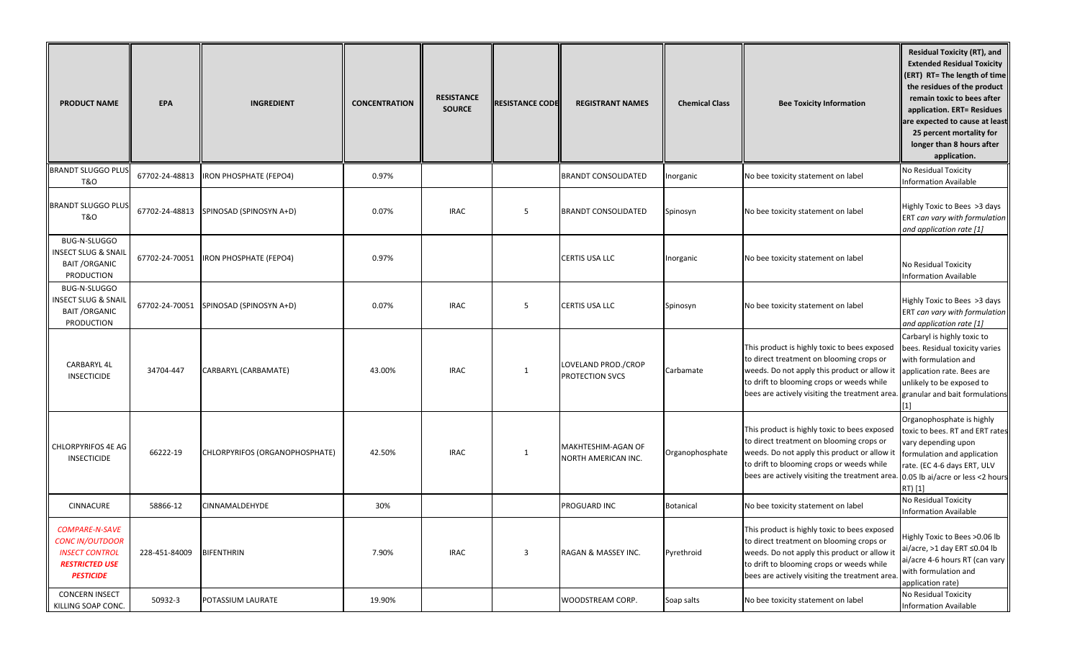| <b>PRODUCT NAME</b>                                                                                                   | <b>EPA</b>     | <b>INGREDIENT</b>              | <b>CONCENTRATION</b> | <b>RESISTANCE</b><br><b>SOURCE</b> | <b>RESISTANCE CODE</b> | <b>REGISTRANT NAMES</b>                       | <b>Chemical Class</b> | <b>Bee Toxicity Information</b>                                                                                                                                                                                                        | <b>Residual Toxicity (RT), and</b><br><b>Extended Residual Toxicity</b><br>(ERT) RT= The length of time<br>the residues of the product<br>remain toxic to bees after<br>application. ERT= Residues<br>are expected to cause at least<br>25 percent mortality for<br>longer than 8 hours after<br>application. |
|-----------------------------------------------------------------------------------------------------------------------|----------------|--------------------------------|----------------------|------------------------------------|------------------------|-----------------------------------------------|-----------------------|----------------------------------------------------------------------------------------------------------------------------------------------------------------------------------------------------------------------------------------|---------------------------------------------------------------------------------------------------------------------------------------------------------------------------------------------------------------------------------------------------------------------------------------------------------------|
| <b>BRANDT SLUGGO PLUS</b><br>T&O                                                                                      | 67702-24-48813 | RON PHOSPHATE (FEPO4)          | 0.97%                |                                    |                        | <b>BRANDT CONSOLIDATED</b>                    | Inorganic             | No bee toxicity statement on label                                                                                                                                                                                                     | No Residual Toxicity<br>Information Available                                                                                                                                                                                                                                                                 |
| <b>BRANDT SLUGGO PLUS</b><br><b>T&amp;O</b>                                                                           | 67702-24-48813 | SPINOSAD (SPINOSYN A+D)        | 0.07%                | <b>IRAC</b>                        | 5                      | <b>BRANDT CONSOLIDATED</b>                    | Spinosyn              | No bee toxicity statement on label                                                                                                                                                                                                     | Highly Toxic to Bees >3 days<br>ERT can vary with formulation<br>and application rate [1]                                                                                                                                                                                                                     |
| BUG-N-SLUGGO<br>NSECT SLUG & SNAIL<br><b>BAIT / ORGANIC</b><br><b>PRODUCTION</b>                                      | 67702-24-70051 | <b>IRON PHOSPHATE (FEPO4)</b>  | 0.97%                |                                    |                        | CERTIS USA LLC                                | Inorganic             | No bee toxicity statement on label                                                                                                                                                                                                     | No Residual Toxicity<br>Information Available                                                                                                                                                                                                                                                                 |
| BUG-N-SLUGGO<br>NSECT SLUG & SNAIL<br><b>BAIT /ORGANIC</b><br><b>PRODUCTION</b>                                       | 67702-24-70051 | SPINOSAD (SPINOSYN A+D)        | 0.07%                | <b>IRAC</b>                        | 5                      | <b>CERTIS USA LLC</b>                         | Spinosyn              | No bee toxicity statement on label                                                                                                                                                                                                     | Highly Toxic to Bees >3 days<br>ERT can vary with formulation<br>and application rate [1]                                                                                                                                                                                                                     |
| CARBARYL 4L<br><b>INSECTICIDE</b>                                                                                     | 34704-447      | CARBARYL (CARBAMATE)           | 43.00%               | <b>IRAC</b>                        | $\mathbf{1}$           | LOVELAND PROD./CROP<br><b>PROTECTION SVCS</b> | Carbamate             | This product is highly toxic to bees exposed<br>to direct treatment on blooming crops or<br>weeds. Do not apply this product or allow it<br>to drift to blooming crops or weeds while<br>bees are actively visiting the treatment area | Carbaryl is highly toxic to<br>bees. Residual toxicity varies<br>with formulation and<br>application rate. Bees are<br>unlikely to be exposed to<br>granular and bait formulations                                                                                                                            |
| CHLORPYRIFOS 4E AG<br><b>INSECTICIDE</b>                                                                              | 66222-19       | CHLORPYRIFOS (ORGANOPHOSPHATE) | 42.50%               | <b>IRAC</b>                        | $\mathbf{1}$           | MAKHTESHIM-AGAN OF<br>NORTH AMERICAN INC.     | Organophosphate       | This product is highly toxic to bees exposed<br>to direct treatment on blooming crops or<br>weeds. Do not apply this product or allow it<br>to drift to blooming crops or weeds while<br>bees are actively visiting the treatment area | Organophosphate is highly<br>toxic to bees. RT and ERT rates<br>vary depending upon<br>formulation and application<br>rate. (EC 4-6 days ERT, ULV<br>0.05 lb ai/acre or less <2 hours<br>RT) [1]                                                                                                              |
| <b>CINNACURE</b>                                                                                                      | 58866-12       | CINNAMALDEHYDE                 | 30%                  |                                    |                        | PROGUARD INC                                  | Botanical             | No bee toxicity statement on label                                                                                                                                                                                                     | No Residual Toxicity<br>Information Available                                                                                                                                                                                                                                                                 |
| <b>COMPARE-N-SAVE</b><br><b>CONC IN/OUTDOOR</b><br><b>INSECT CONTROL</b><br><b>RESTRICTED USE</b><br><b>PESTICIDE</b> | 228-451-84009  | BIFENTHRIN                     | 7.90%                | <b>IRAC</b>                        | $\overline{3}$         | RAGAN & MASSEY INC.                           | Pyrethroid            | This product is highly toxic to bees exposed<br>to direct treatment on blooming crops or<br>weeds. Do not apply this product or allow it<br>to drift to blooming crops or weeds while<br>bees are actively visiting the treatment area | Highly Toxic to Bees > 0.06 lb<br>ai/acre, >1 day ERT ≤0.04 lb<br>ai/acre 4-6 hours RT (can vary<br>with formulation and<br>application rate)                                                                                                                                                                 |
| <b>CONCERN INSECT</b><br>KILLING SOAP CONC.                                                                           | 50932-3        | POTASSIUM LAURATE              | 19.90%               |                                    |                        | <b>WOODSTREAM CORP.</b>                       | Soap salts            | No bee toxicity statement on label                                                                                                                                                                                                     | No Residual Toxicity<br><b>Information Available</b>                                                                                                                                                                                                                                                          |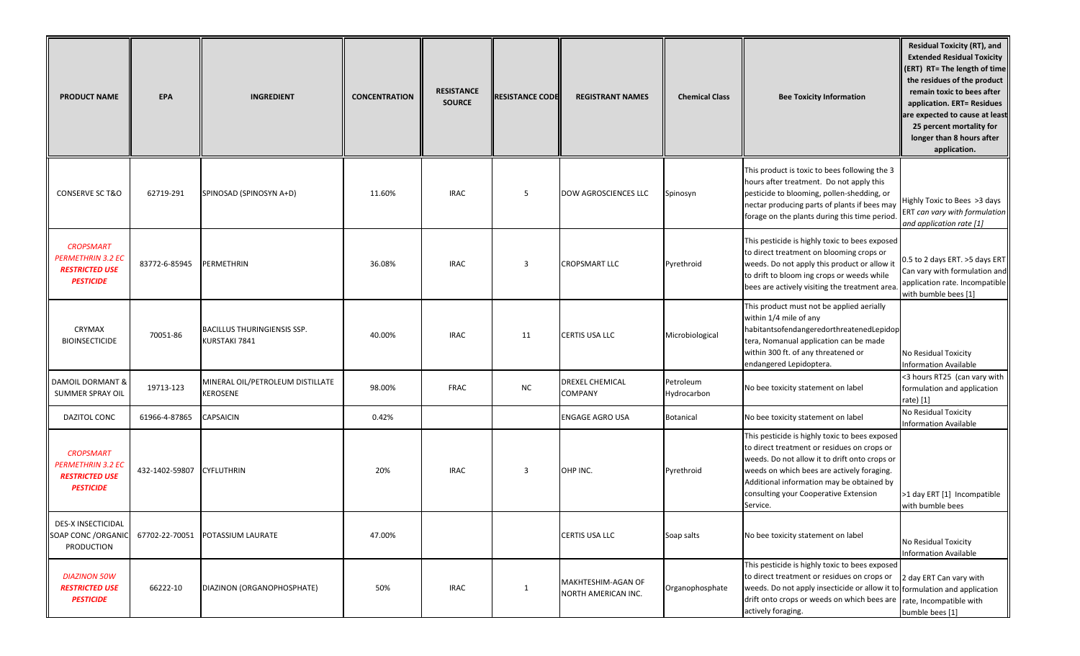| <b>PRODUCT NAME</b>                                                                       | <b>EPA</b>                | <b>INGREDIENT</b>                                   | <b>CONCENTRATION</b> | <b>RESISTANCE</b><br><b>SOURCE</b> | <b>RESISTANCE CODE</b> | <b>REGISTRANT NAMES</b>                   | <b>Chemical Class</b>    | <b>Bee Toxicity Information</b>                                                                                                                                                                                                                                                                | <b>Residual Toxicity (RT), and</b><br><b>Extended Residual Toxicity</b><br>(ERT) RT= The length of time<br>the residues of the product<br>remain toxic to bees after<br>application. ERT= Residues<br>are expected to cause at least<br>25 percent mortality for<br>longer than 8 hours after<br>application. |
|-------------------------------------------------------------------------------------------|---------------------------|-----------------------------------------------------|----------------------|------------------------------------|------------------------|-------------------------------------------|--------------------------|------------------------------------------------------------------------------------------------------------------------------------------------------------------------------------------------------------------------------------------------------------------------------------------------|---------------------------------------------------------------------------------------------------------------------------------------------------------------------------------------------------------------------------------------------------------------------------------------------------------------|
| <b>CONSERVE SC T&amp;O</b>                                                                | 62719-291                 | SPINOSAD (SPINOSYN A+D)                             | 11.60%               | <b>IRAC</b>                        | 5                      | DOW AGROSCIENCES LLC                      | Spinosyn                 | This product is toxic to bees following the 3<br>hours after treatment. Do not apply this<br>pesticide to blooming, pollen-shedding, or<br>nectar producing parts of plants if bees may<br>forage on the plants during this time period.                                                       | Highly Toxic to Bees >3 days<br>ERT can vary with formulation<br>and application rate [1]                                                                                                                                                                                                                     |
| <b>CROPSMART</b><br><b>PERMETHRIN 3.2 EC</b><br><b>RESTRICTED USE</b><br><b>PESTICIDE</b> | 83772-6-85945             | PERMETHRIN                                          | 36.08%               | <b>IRAC</b>                        | 3                      | <b>CROPSMART LLC</b>                      | Pyrethroid               | This pesticide is highly toxic to bees exposed<br>to direct treatment on blooming crops or<br>weeds. Do not apply this product or allow it<br>to drift to bloom ing crops or weeds while<br>bees are actively visiting the treatment area.                                                     | 0.5 to 2 days ERT. >5 days ERT<br>Can vary with formulation and<br>application rate. Incompatible<br>with bumble bees [1]                                                                                                                                                                                     |
| CRYMAX<br><b>BIOINSECTICIDE</b>                                                           | 70051-86                  | <b>BACILLUS THURINGIENSIS SSP.</b><br>KURSTAKI 7841 | 40.00%               | <b>IRAC</b>                        | 11                     | CERTIS USA LLC                            | Microbiological          | This product must not be applied aerially<br>within 1/4 mile of any<br>habitantsofendangeredorthreatenedLepidop<br>tera, Nomanual application can be made<br>within 300 ft. of any threatened or<br>endangered Lepidoptera.                                                                    | No Residual Toxicity<br>Information Available                                                                                                                                                                                                                                                                 |
| DAMOIL DORMANT &<br>SUMMER SPRAY OIL                                                      | 19713-123                 | MINERAL OIL/PETROLEUM DISTILLATE<br><b>KEROSENE</b> | 98.00%               | <b>FRAC</b>                        | <b>NC</b>              | DREXEL CHEMICAL<br>COMPANY                | Petroleum<br>Hydrocarbon | No bee toxicity statement on label                                                                                                                                                                                                                                                             | <3 hours RT25 (can vary with<br>formulation and application<br>rate) $[1]$                                                                                                                                                                                                                                    |
| DAZITOL CONC                                                                              | 61966-4-87865             | CAPSAICIN                                           | 0.42%                |                                    |                        | ENGAGE AGRO USA                           | Botanical                | No bee toxicity statement on label                                                                                                                                                                                                                                                             | No Residual Toxicity<br>Information Available                                                                                                                                                                                                                                                                 |
| <b>CROPSMART</b><br><b>PERMETHRIN 3.2 EC</b><br><b>RESTRICTED USE</b><br><b>PESTICIDE</b> | 432-1402-59807 CYFLUTHRIN |                                                     | 20%                  | <b>IRAC</b>                        | 3                      | OHP INC.                                  | Pyrethroid               | This pesticide is highly toxic to bees exposed<br>to direct treatment or residues on crops or<br>weeds. Do not allow it to drift onto crops or<br>weeds on which bees are actively foraging.<br>Additional information may be obtained by<br>consulting your Cooperative Extension<br>Service. | >1 day ERT [1] Incompatible<br>with bumble bees                                                                                                                                                                                                                                                               |
| DES-X INSECTICIDAL<br>SOAP CONC / ORGANIC<br><b>PRODUCTION</b>                            |                           | 67702-22-70051 POTASSIUM LAURATE                    | 47.00%               |                                    |                        | CERTIS USA LLC                            | Soap salts               | No bee toxicity statement on label                                                                                                                                                                                                                                                             | No Residual Toxicity<br>Information Available                                                                                                                                                                                                                                                                 |
| <b>DIAZINON 50W</b><br><b>RESTRICTED USE</b><br><b>PESTICIDE</b>                          | 66222-10                  | DIAZINON (ORGANOPHOSPHATE)                          | 50%                  | <b>IRAC</b>                        | $\mathbf{1}$           | MAKHTESHIM-AGAN OF<br>NORTH AMERICAN INC. | Organophosphate          | This pesticide is highly toxic to bees exposed<br>to direct treatment or residues on crops or<br>weeds. Do not apply insecticide or allow it to formulation and application<br>drift onto crops or weeds on which bees are<br>actively foraging.                                               | 2 day ERT Can vary with<br>rate, Incompatible with<br>bumble bees [1]                                                                                                                                                                                                                                         |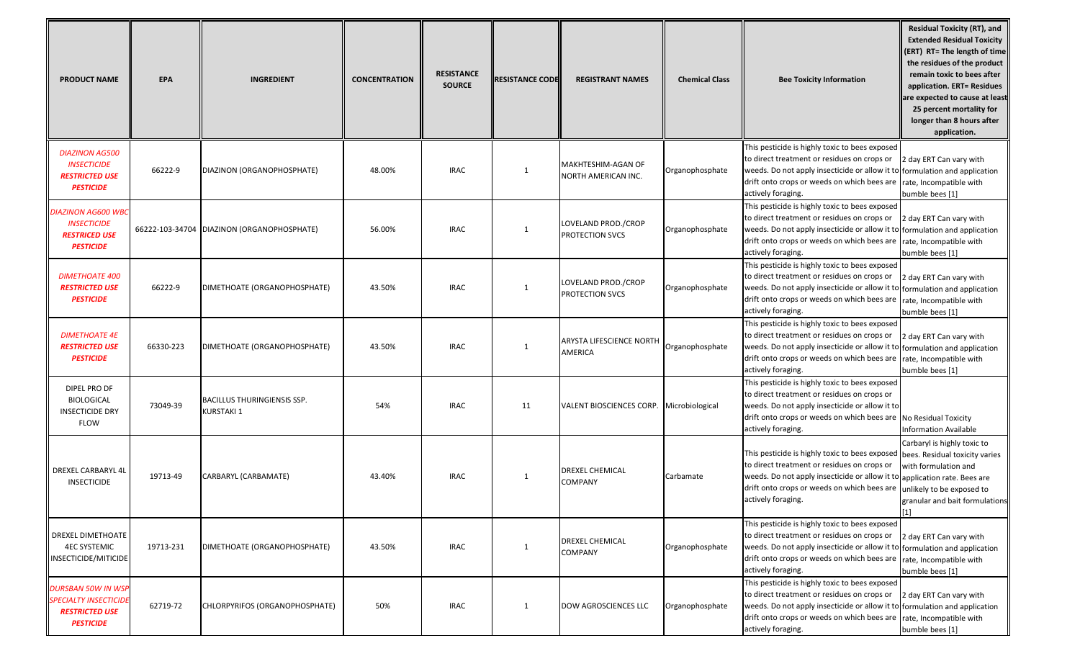| <b>PRODUCT NAME</b>                                                                             | <b>EPA</b> | <b>INGREDIENT</b>                                      | <b>CONCENTRATION</b> | <b>RESISTANCE</b><br><b>SOURCE</b> | <b>RESISTANCE CODE</b> | <b>REGISTRANT NAMES</b>                       | <b>Chemical Class</b> | <b>Bee Toxicity Information</b>                                                                                                                                                                                                                                           | <b>Residual Toxicity (RT), and</b><br><b>Extended Residual Toxicity</b><br>(ERT) RT= The length of time<br>the residues of the product<br>remain toxic to bees after<br>application. ERT= Residues<br>are expected to cause at least<br>25 percent mortality for<br>longer than 8 hours after<br>application. |
|-------------------------------------------------------------------------------------------------|------------|--------------------------------------------------------|----------------------|------------------------------------|------------------------|-----------------------------------------------|-----------------------|---------------------------------------------------------------------------------------------------------------------------------------------------------------------------------------------------------------------------------------------------------------------------|---------------------------------------------------------------------------------------------------------------------------------------------------------------------------------------------------------------------------------------------------------------------------------------------------------------|
| <b>DIAZINON AG500</b><br><b>INSECTICIDE</b><br><i><b>RESTRICTED USE</b></i><br><b>PESTICIDE</b> | 66222-9    | DIAZINON (ORGANOPHOSPHATE)                             | 48.00%               | <b>IRAC</b>                        | 1                      | MAKHTESHIM-AGAN OF<br>NORTH AMERICAN INC.     | Organophosphate       | This pesticide is highly toxic to bees exposed<br>to direct treatment or residues on crops or<br>weeds. Do not apply insecticide or allow it to formulation and application<br>drift onto crops or weeds on which bees are rate, Incompatible with<br>actively foraging.  | 2 day ERT Can vary with<br>bumble bees [1]                                                                                                                                                                                                                                                                    |
| <b>DIAZINON AG600 WBC</b><br><b>INSECTICIDE</b><br><b>RESTRICED USE</b><br><b>PESTICIDE</b>     |            | 66222-103-34704   DIAZINON (ORGANOPHOSPHATE)           | 56.00%               | <b>IRAC</b>                        | $\mathbf{1}$           | LOVELAND PROD./CROP<br><b>PROTECTION SVCS</b> | Organophosphate       | This pesticide is highly toxic to bees exposed<br>to direct treatment or residues on crops or<br>weeds. Do not apply insecticide or allow it to formulation and application<br>drift onto crops or weeds on which bees are<br>actively foraging.                          | 2 day ERT Can vary with<br>rate, Incompatible with<br>bumble bees [1]                                                                                                                                                                                                                                         |
| <b>DIMETHOATE 400</b><br><b>RESTRICTED USE</b><br><b>PESTICIDE</b>                              | 66222-9    | DIMETHOATE (ORGANOPHOSPHATE)                           | 43.50%               | <b>IRAC</b>                        | 1                      | LOVELAND PROD./CROP<br><b>PROTECTION SVCS</b> | Organophosphate       | This pesticide is highly toxic to bees exposed<br>to direct treatment or residues on crops or<br>weeds. Do not apply insecticide or allow it to formulation and application<br>drift onto crops or weeds on which bees are<br>actively foraging.                          | 2 day ERT Can vary with<br>rate, Incompatible with<br>bumble bees [1]                                                                                                                                                                                                                                         |
| <b>DIMETHOATE 4E</b><br><b>RESTRICTED USE</b><br><b>PESTICIDE</b>                               | 66330-223  | DIMETHOATE (ORGANOPHOSPHATE)                           | 43.50%               | <b>IRAC</b>                        | 1                      | <b>ARYSTA LIFESCIENCE NORTH</b><br>AMERICA    | Organophosphate       | This pesticide is highly toxic to bees exposed<br>to direct treatment or residues on crops or<br>weeds. Do not apply insecticide or allow it to formulation and application<br>drift onto crops or weeds on which bees are rate, Incompatible with<br>actively foraging.  | 2 day ERT Can vary with<br>bumble bees [1]                                                                                                                                                                                                                                                                    |
| DIPEL PRO DF<br><b>BIOLOGICAL</b><br><b>INSECTICIDE DRY</b><br><b>FLOW</b>                      | 73049-39   | <b>BACILLUS THURINGIENSIS SSP.</b><br><b>KURSTAKI1</b> | 54%                  | <b>IRAC</b>                        | 11                     | VALENT BIOSCIENCES CORP. Microbiological      |                       | This pesticide is highly toxic to bees exposed<br>to direct treatment or residues on crops or<br>weeds. Do not apply insecticide or allow it to<br>drift onto crops or weeds on which bees are No Residual Toxicity<br>actively foraging.                                 | Information Available                                                                                                                                                                                                                                                                                         |
| <b>DREXEL CARBARYL 4L</b><br><b>INSECTICIDE</b>                                                 | 19713-49   | CARBARYL (CARBAMATE)                                   | 43.40%               | <b>IRAC</b>                        | $\mathbf{1}$           | <b>DREXEL CHEMICAL</b><br><b>COMPANY</b>      | Carbamate             | This pesticide is highly toxic to bees exposed<br>to direct treatment or residues on crops or<br>weeds. Do not apply insecticide or allow it to application rate. Bees are<br>drift onto crops or weeds on which bees are unlikely to be exposed to<br>actively foraging. | Carbaryl is highly toxic to<br>bees. Residual toxicity varies<br>with formulation and<br>granular and bait formulations                                                                                                                                                                                       |
| DREXEL DIMETHOATE<br><b>4EC SYSTEMIC</b><br>NSECTICIDE/MITICIDE                                 | 19713-231  | DIMETHOATE (ORGANOPHOSPHATE)                           | 43.50%               | <b>IRAC</b>                        | 1                      | <b>DREXEL CHEMICAL</b><br><b>COMPANY</b>      | Organophosphate       | This pesticide is highly toxic to bees exposed<br>to direct treatment or residues on crops or<br>weeds. Do not apply insecticide or allow it to formulation and application<br>drift onto crops or weeds on which bees are<br>actively foraging.                          | 2 day ERT Can vary with<br>rate, Incompatible with<br>bumble bees [1]                                                                                                                                                                                                                                         |
| DURSBAN 50W IN WSP<br>SPECIALTY INSECTICIDE<br><b>RESTRICTED USE</b><br><b>PESTICIDE</b>        | 62719-72   | CHLORPYRIFOS (ORGANOPHOSPHATE)                         | 50%                  | <b>IRAC</b>                        | 1                      | DOW AGROSCIENCES LLC                          | Organophosphate       | This pesticide is highly toxic to bees exposed<br>to direct treatment or residues on crops or<br>weeds. Do not apply insecticide or allow it to formulation and application<br>drift onto crops or weeds on which bees are<br>actively foraging.                          | 2 day ERT Can vary with<br>rate, Incompatible with<br>bumble bees [1]                                                                                                                                                                                                                                         |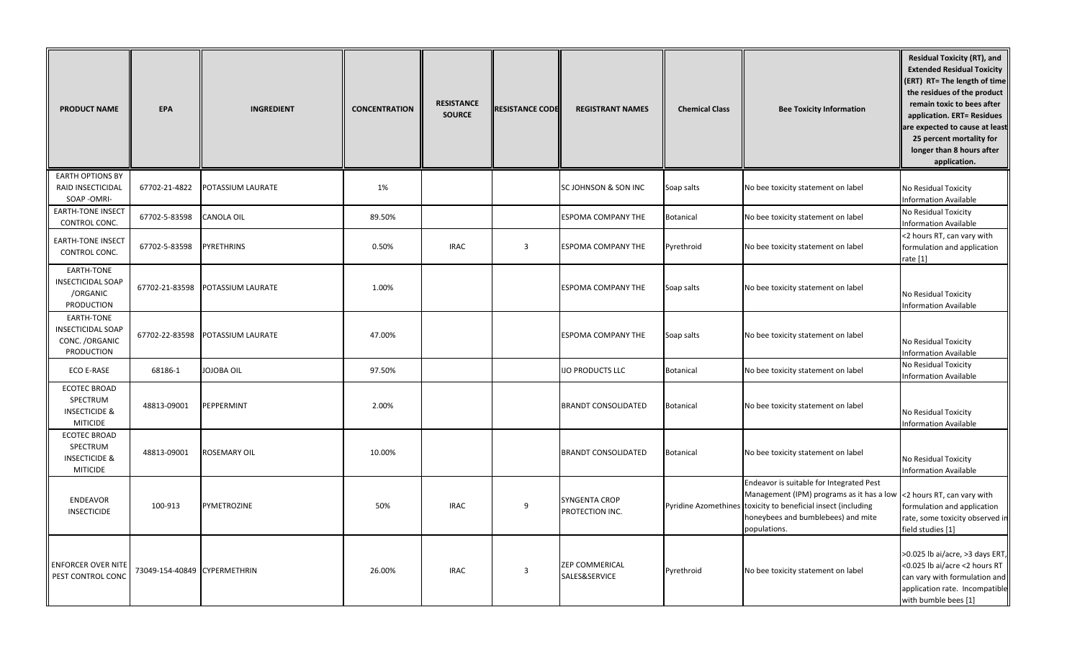| <b>PRODUCT NAME</b>                                                            | EPA                          | <b>INGREDIENT</b>        | <b>CONCENTRATION</b> | <b>RESISTANCE</b><br><b>SOURCE</b> | <b>RESISTANCE CODE</b> | <b>REGISTRANT NAMES</b>                 | <b>Chemical Class</b> | <b>Bee Toxicity Information</b>                                                                                                                                                                              | <b>Residual Toxicity (RT), and</b><br><b>Extended Residual Toxicity</b><br><b>(ERT) RT= The length of time</b><br>the residues of the product<br>remain toxic to bees after<br>application. ERT= Residues<br>are expected to cause at least<br>25 percent mortality for<br>longer than 8 hours after<br>application. |
|--------------------------------------------------------------------------------|------------------------------|--------------------------|----------------------|------------------------------------|------------------------|-----------------------------------------|-----------------------|--------------------------------------------------------------------------------------------------------------------------------------------------------------------------------------------------------------|----------------------------------------------------------------------------------------------------------------------------------------------------------------------------------------------------------------------------------------------------------------------------------------------------------------------|
| <b>EARTH OPTIONS BY</b><br>RAID INSECTICIDAL<br>SOAP - OMRI-                   | 67702-21-4822                | <b>POTASSIUM LAURATE</b> | 1%                   |                                    |                        | <b>SC JOHNSON &amp; SON INC</b>         | Soap salts            | No bee toxicity statement on label                                                                                                                                                                           | No Residual Toxicity<br><b>Information Available</b>                                                                                                                                                                                                                                                                 |
| <b>EARTH-TONE INSECT</b><br>CONTROL CONC.                                      | 67702-5-83598                | CANOLA OIL               | 89.50%               |                                    |                        | ESPOMA COMPANY THE                      | Botanical             | No bee toxicity statement on label                                                                                                                                                                           | No Residual Toxicity<br><b>Information Available</b>                                                                                                                                                                                                                                                                 |
| <b>EARTH-TONE INSECT</b><br>CONTROL CONC.                                      | 67702-5-83598                | PYRETHRINS               | 0.50%                | <b>IRAC</b>                        | $\overline{3}$         | ESPOMA COMPANY THE                      | Pyrethroid            | No bee toxicity statement on label                                                                                                                                                                           | <2 hours RT, can vary with<br>formulation and application<br>rate [1]                                                                                                                                                                                                                                                |
| EARTH-TONE<br><b>INSECTICIDAL SOAP</b><br>/ORGANIC<br>PRODUCTION               | 67702-21-83598               | <b>POTASSIUM LAURATE</b> | 1.00%                |                                    |                        | <b>ESPOMA COMPANY THE</b>               | Soap salts            | No bee toxicity statement on label                                                                                                                                                                           | No Residual Toxicity<br><b>Information Available</b>                                                                                                                                                                                                                                                                 |
| EARTH-TONE<br>INSECTICIDAL SOAP<br>CONC. / ORGANIC<br><b>PRODUCTION</b>        | 67702-22-83598               | <b>POTASSIUM LAURATE</b> | 47.00%               |                                    |                        | <b>ESPOMA COMPANY THE</b>               | Soap salts            | No bee toxicity statement on label                                                                                                                                                                           | No Residual Toxicity<br><b>Information Available</b>                                                                                                                                                                                                                                                                 |
| <b>ECO E-RASE</b>                                                              | 68186-1                      | <b>JOJOBA OIL</b>        | 97.50%               |                                    |                        | <b>IJO PRODUCTS LLC</b>                 | Botanical             | No bee toxicity statement on label                                                                                                                                                                           | No Residual Toxicity<br>nformation Available                                                                                                                                                                                                                                                                         |
| <b>ECOTEC BROAD</b><br>SPECTRUM<br><b>INSECTICIDE &amp;</b><br><b>MITICIDE</b> | 48813-09001                  | PEPPERMINT               | 2.00%                |                                    |                        | <b>BRANDT CONSOLIDATED</b>              | <b>Botanical</b>      | No bee toxicity statement on label                                                                                                                                                                           | No Residual Toxicity<br><b>Information Available</b>                                                                                                                                                                                                                                                                 |
| <b>ECOTEC BROAD</b><br>SPECTRUM<br><b>INSECTICIDE &amp;</b><br><b>MITICIDE</b> | 48813-09001                  | <b>ROSEMARY OIL</b>      | 10.00%               |                                    |                        | <b>BRANDT CONSOLIDATED</b>              | Botanical             | No bee toxicity statement on label                                                                                                                                                                           | No Residual Toxicity<br><b>Information Available</b>                                                                                                                                                                                                                                                                 |
| ENDEAVOR<br><b>INSECTICIDE</b>                                                 | 100-913                      | PYMETROZINE              | 50%                  | <b>IRAC</b>                        | 9                      | <b>SYNGENTA CROP</b><br>PROTECTION INC. |                       | Endeavor is suitable for Integrated Pest<br>Management (IPM) programs as it has a low<br>Pyridine Azomethines toxicity to beneficial insect (including<br>honeybees and bumblebees) and mite<br>populations. | <2 hours RT, can vary with<br>formulation and application<br>rate, some toxicity observed in<br>field studies [1]                                                                                                                                                                                                    |
| <b>ENFORCER OVER NITE</b><br>PEST CONTROL CONC                                 | 73049-154-40849 CYPERMETHRIN |                          | 26.00%               | <b>IRAC</b>                        | $\overline{3}$         | ZEP COMMERICAL<br>SALES&SERVICE         | Pyrethroid            | No bee toxicity statement on label                                                                                                                                                                           | >0.025 lb ai/acre, >3 days ERT,<br><0.025 lb ai/acre <2 hours RT<br>can vary with formulation and<br>application rate. Incompatible<br>with bumble bees [1]                                                                                                                                                          |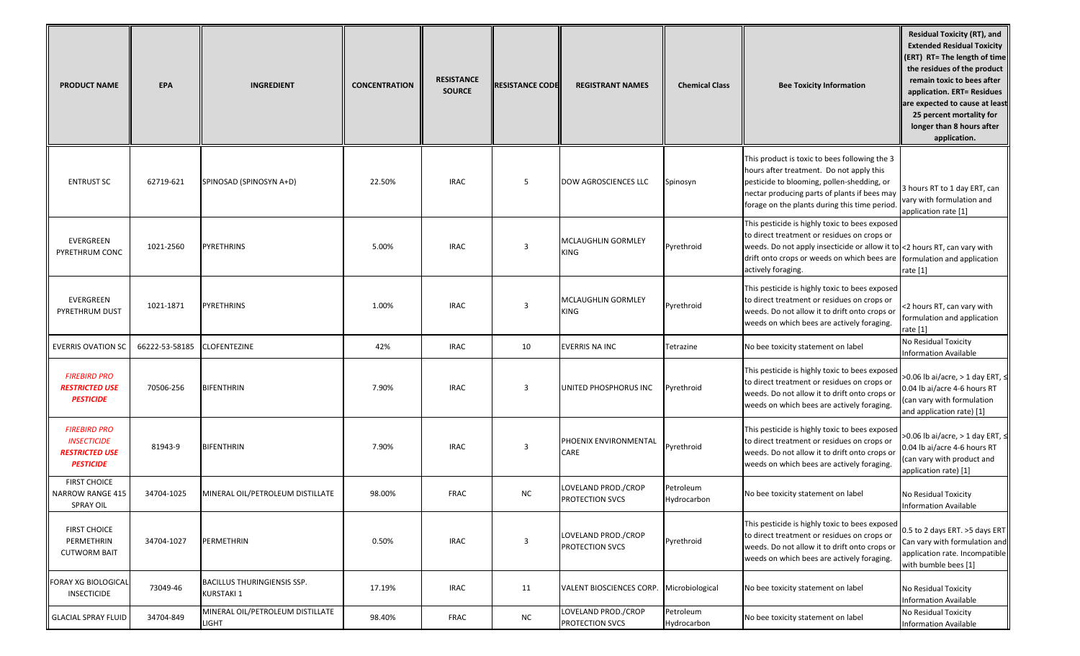| <b>PRODUCT NAME</b>                                                             | <b>EPA</b>     | <b>INGREDIENT</b>                                | <b>CONCENTRATION</b> | <b>RESISTANCE</b><br><b>SOURCE</b> | <b>RESISTANCE CODE</b> | <b>REGISTRANT NAMES</b>                  | <b>Chemical Class</b>    | <b>Bee Toxicity Information</b>                                                                                                                                                                                                                 | <b>Residual Toxicity (RT), and</b><br><b>Extended Residual Toxicity</b><br>(ERT) RT= The length of time<br>the residues of the product<br>remain toxic to bees after<br>application. ERT= Residues<br>are expected to cause at least<br>25 percent mortality for<br>longer than 8 hours after<br>application. |
|---------------------------------------------------------------------------------|----------------|--------------------------------------------------|----------------------|------------------------------------|------------------------|------------------------------------------|--------------------------|-------------------------------------------------------------------------------------------------------------------------------------------------------------------------------------------------------------------------------------------------|---------------------------------------------------------------------------------------------------------------------------------------------------------------------------------------------------------------------------------------------------------------------------------------------------------------|
| <b>ENTRUST SC</b>                                                               | 62719-621      | SPINOSAD (SPINOSYN A+D)                          | 22.50%               | <b>IRAC</b>                        | 5                      | DOW AGROSCIENCES LLC                     | Spinosyn                 | This product is toxic to bees following the 3<br>hours after treatment. Do not apply this<br>pesticide to blooming, pollen-shedding, or<br>nectar producing parts of plants if bees may<br>forage on the plants during this time period.        | 3 hours RT to 1 day ERT, can<br>vary with formulation and<br>application rate [1]                                                                                                                                                                                                                             |
| <b>EVERGREEN</b><br>PYRETHRUM CONC                                              | 1021-2560      | PYRETHRINS                                       | 5.00%                | <b>IRAC</b>                        | 3                      | MCLAUGHLIN GORMLEY<br><b>KING</b>        | Pyrethroid               | This pesticide is highly toxic to bees exposed<br>to direct treatment or residues on crops or<br>weeds. Do not apply insecticide or allow it to <2 hours RT, can vary with<br>drift onto crops or weeds on which bees are<br>actively foraging. | formulation and application<br>rate [1]                                                                                                                                                                                                                                                                       |
| EVERGREEN<br>PYRETHRUM DUST                                                     | 1021-1871      | PYRETHRINS                                       | 1.00%                | <b>IRAC</b>                        | 3                      | MCLAUGHLIN GORMLEY<br><b>KING</b>        | Pyrethroid               | This pesticide is highly toxic to bees exposed<br>to direct treatment or residues on crops or<br>weeds. Do not allow it to drift onto crops or<br>weeds on which bees are actively foraging.                                                    | <2 hours RT, can vary with<br>formulation and application<br>rate [1]                                                                                                                                                                                                                                         |
| <b>EVERRIS OVATION SC</b>                                                       | 66222-53-58185 | <b>CLOFENTEZINE</b>                              | 42%                  | <b>IRAC</b>                        | 10                     | EVERRIS NA INC                           | Tetrazine                | No bee toxicity statement on label                                                                                                                                                                                                              | No Residual Toxicity<br><b>Information Available</b>                                                                                                                                                                                                                                                          |
| <b>FIREBIRD PRO</b><br><b>RESTRICTED USE</b><br><b>PESTICIDE</b>                | 70506-256      | BIFENTHRIN                                       | 7.90%                | <b>IRAC</b>                        | 3                      | UNITED PHOSPHORUS INC                    | Pyrethroid               | This pesticide is highly toxic to bees exposed<br>to direct treatment or residues on crops or<br>weeds. Do not allow it to drift onto crops or<br>weeds on which bees are actively foraging.                                                    | >0.06 lb ai/acre, > 1 day ERT, ≤<br>0.04 lb ai/acre 4-6 hours RT<br>(can vary with formulation<br>and application rate) [1]                                                                                                                                                                                   |
| <b>FIREBIRD PRO</b><br><b>INSECTICIDE</b><br>RESTRICTED USE<br><b>PESTICIDE</b> | 81943-9        | BIFENTHRIN                                       | 7.90%                | <b>IRAC</b>                        | 3                      | PHOENIX ENVIRONMENTAL<br>CARE            | Pyrethroid               | This pesticide is highly toxic to bees exposed<br>to direct treatment or residues on crops or<br>weeds. Do not allow it to drift onto crops or<br>weeds on which bees are actively foraging.                                                    | >0.06 lb ai/acre, > 1 day ERT, ≤<br>0.04 lb ai/acre 4-6 hours RT<br>(can vary with product and<br>application rate) [1]                                                                                                                                                                                       |
| <b>FIRST CHOICE</b><br>NARROW RANGE 415<br>SPRAY OIL                            | 34704-1025     | MINERAL OIL/PETROLEUM DISTILLATE                 | 98.00%               | <b>FRAC</b>                        | NC                     | LOVELAND PROD./CROP<br>PROTECTION SVCS   | Petroleum<br>Hydrocarbon | No bee toxicity statement on label                                                                                                                                                                                                              | No Residual Toxicity<br><b>Information Available</b>                                                                                                                                                                                                                                                          |
| <b>FIRST CHOICE</b><br>PERMETHRIN<br><b>CUTWORM BAIT</b>                        | 34704-1027     | PERMETHRIN                                       | 0.50%                | <b>IRAC</b>                        | $\overline{3}$         | LOVELAND PROD./CROP<br>PROTECTION SVCS   | Pyrethroid               | This pesticide is highly toxic to bees exposed<br>to direct treatment or residues on crops or<br>weeds. Do not allow it to drift onto crops or<br>weeds on which bees are actively foraging.                                                    | 0.5 to 2 days ERT. >5 days ERT<br>Can vary with formulation and<br>application rate. Incompatible<br>with bumble bees [1]                                                                                                                                                                                     |
| <b>FORAY XG BIOLOGICAL</b><br><b>INSECTICIDE</b>                                | 73049-46       | <b>BACILLUS THURINGIENSIS SSP.</b><br>KURSTAKI 1 | 17.19%               | <b>IRAC</b>                        | 11                     | VALENT BIOSCIENCES CORP. Microbiological |                          | No bee toxicity statement on label                                                                                                                                                                                                              | No Residual Toxicity<br><b>Information Available</b>                                                                                                                                                                                                                                                          |
| <b>GLACIAL SPRAY FLUID</b>                                                      | 34704-849      | MINERAL OIL/PETROLEUM DISTILLATE<br>LIGHT        | 98.40%               | FRAC                               | <b>NC</b>              | LOVELAND PROD./CROP<br>PROTECTION SVCS   | Petroleum<br>Hydrocarbon | No bee toxicity statement on label                                                                                                                                                                                                              | No Residual Toxicity<br><b>Information Available</b>                                                                                                                                                                                                                                                          |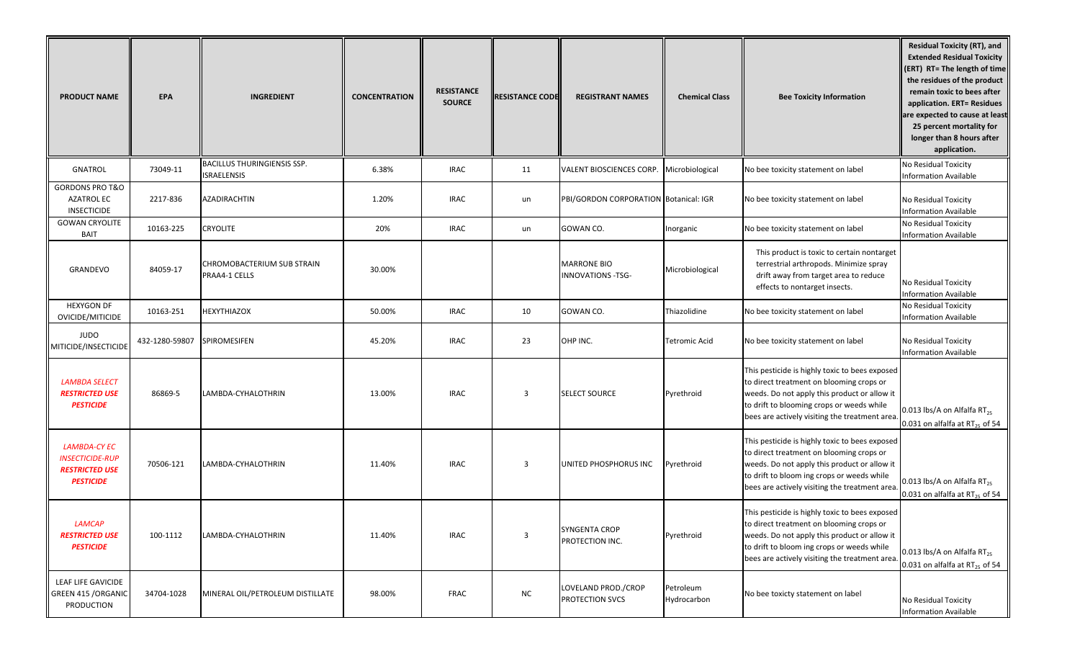| <b>PRODUCT NAME</b>                                                                        | <b>EPA</b>     | <b>INGREDIENT</b>                                        | <b>CONCENTRATION</b> | <b>RESISTANCE</b><br><b>SOURCE</b> | <b>RESISTANCE CODE</b> | <b>REGISTRANT NAMES</b>                    | <b>Chemical Class</b>    | <b>Bee Toxicity Information</b>                                                                                                                                                                                                            | <b>Residual Toxicity (RT), and</b><br><b>Extended Residual Toxicity</b><br>(ERT) RT= The length of time<br>the residues of the product<br>remain toxic to bees after<br>application. ERT= Residues<br>are expected to cause at least<br>25 percent mortality for<br>longer than 8 hours after<br>application. |
|--------------------------------------------------------------------------------------------|----------------|----------------------------------------------------------|----------------------|------------------------------------|------------------------|--------------------------------------------|--------------------------|--------------------------------------------------------------------------------------------------------------------------------------------------------------------------------------------------------------------------------------------|---------------------------------------------------------------------------------------------------------------------------------------------------------------------------------------------------------------------------------------------------------------------------------------------------------------|
| GNATROL                                                                                    | 73049-11       | <b>BACILLUS THURINGIENSIS SSP.</b><br><b>ISRAELENSIS</b> | 6.38%                | <b>IRAC</b>                        | 11                     | VALENT BIOSCIENCES CORP.   Microbiological |                          | No bee toxicity statement on label                                                                                                                                                                                                         | No Residual Toxicity<br>Information Available                                                                                                                                                                                                                                                                 |
| <b>GORDONS PRO T&amp;O</b><br><b>AZATROL EC</b><br><b>INSECTICIDE</b>                      | 2217-836       | AZADIRACHTIN                                             | 1.20%                | <b>IRAC</b>                        | un                     | PBI/GORDON CORPORATION   Botanical: IGR    |                          | No bee toxicity statement on label                                                                                                                                                                                                         | No Residual Toxicity<br>Information Available                                                                                                                                                                                                                                                                 |
| <b>GOWAN CRYOLITE</b><br><b>BAIT</b>                                                       | 10163-225      | <b>CRYOLITE</b>                                          | 20%                  | <b>IRAC</b>                        | un                     | GOWAN CO.                                  | Inorganic                | No bee toxicity statement on label                                                                                                                                                                                                         | No Residual Toxicity<br><b>Information Available</b>                                                                                                                                                                                                                                                          |
| <b>GRANDEVO</b>                                                                            | 84059-17       | CHROMOBACTERIUM SUB STRAIN<br>PRAA4-1 CELLS              | 30.00%               |                                    |                        | <b>MARRONE BIO</b><br>INNOVATIONS -TSG-    | Microbiological          | This product is toxic to certain nontarget<br>terrestrial arthropods. Minimize spray<br>drift away from target area to reduce<br>effects to nontarget insects.                                                                             | No Residual Toxicity<br><b>Information Available</b>                                                                                                                                                                                                                                                          |
| <b>HEXYGON DF</b><br>OVICIDE/MITICIDE                                                      | 10163-251      | <b>HEXYTHIAZOX</b>                                       | 50.00%               | <b>IRAC</b>                        | 10                     | GOWAN CO.                                  | Thiazolidine             | No bee toxicity statement on label                                                                                                                                                                                                         | No Residual Toxicity<br><b>Information Available</b>                                                                                                                                                                                                                                                          |
| <b>JUDO</b><br>MITICIDE/INSECTICIDE                                                        | 432-1280-59807 | <b>SPIROMESIFEN</b>                                      | 45.20%               | <b>IRAC</b>                        | 23                     | OHP INC.                                   | Tetromic Acid            | No bee toxicity statement on label                                                                                                                                                                                                         | No Residual Toxicity<br>Information Available                                                                                                                                                                                                                                                                 |
| <b>LAMBDA SELECT</b><br><b>RESTRICTED USE</b><br><b>PESTICIDE</b>                          | 86869-5        | LAMBDA-CYHALOTHRIN                                       | 13.00%               | <b>IRAC</b>                        | 3                      | <b>SELECT SOURCE</b>                       | Pyrethroid               | This pesticide is highly toxic to bees exposed<br>to direct treatment on blooming crops or<br>weeds. Do not apply this product or allow it<br>to drift to blooming crops or weeds while<br>bees are actively visiting the treatment area   | 0.013 lbs/A on Alfalfa $RT_{25}$<br>0.031 on alfalfa at $RT_{25}$ of 54                                                                                                                                                                                                                                       |
| <b>LAMBDA-CY EC</b><br><b>INSECTICIDE-RUP</b><br><b>RESTRICTED USE</b><br><b>PESTICIDE</b> | 70506-121      | LAMBDA-CYHALOTHRIN                                       | 11.40%               | <b>IRAC</b>                        | 3                      | UNITED PHOSPHORUS INC                      | Pyrethroid               | This pesticide is highly toxic to bees exposed<br>to direct treatment on blooming crops or<br>weeds. Do not apply this product or allow it<br>to drift to bloom ing crops or weeds while<br>bees are actively visiting the treatment area  | 0.013 lbs/A on Alfalfa $RT_{25}$<br>$0.031$ on alfalfa at RT <sub>25</sub> of 54                                                                                                                                                                                                                              |
| <b>LAMCAP</b><br><b>RESTRICTED USE</b><br><b>PESTICIDE</b>                                 | 100-1112       | LAMBDA-CYHALOTHRIN                                       | 11.40%               | <b>IRAC</b>                        | 3                      | <b>SYNGENTA CROP</b><br>PROTECTION INC.    | Pyrethroid               | This pesticide is highly toxic to bees exposed<br>to direct treatment on blooming crops or<br>weeds. Do not apply this product or allow it<br>to drift to bloom ing crops or weeds while<br>bees are actively visiting the treatment area. | 0.013 lbs/A on Alfalfa RT <sub>25</sub><br>0.031 on alfalfa at $RT_{25}$ of 54                                                                                                                                                                                                                                |
| LEAF LIFE GAVICIDE<br>GREEN 415 / ORGANIC<br>PRODUCTION                                    | 34704-1028     | MINERAL OIL/PETROLEUM DISTILLATE                         | 98.00%               | FRAC                               | ${\sf NC}$             | LOVELAND PROD./CROP<br>PROTECTION SVCS     | Petroleum<br>Hydrocarbon | No bee toxicty statement on label                                                                                                                                                                                                          | No Residual Toxicity<br>Information Available                                                                                                                                                                                                                                                                 |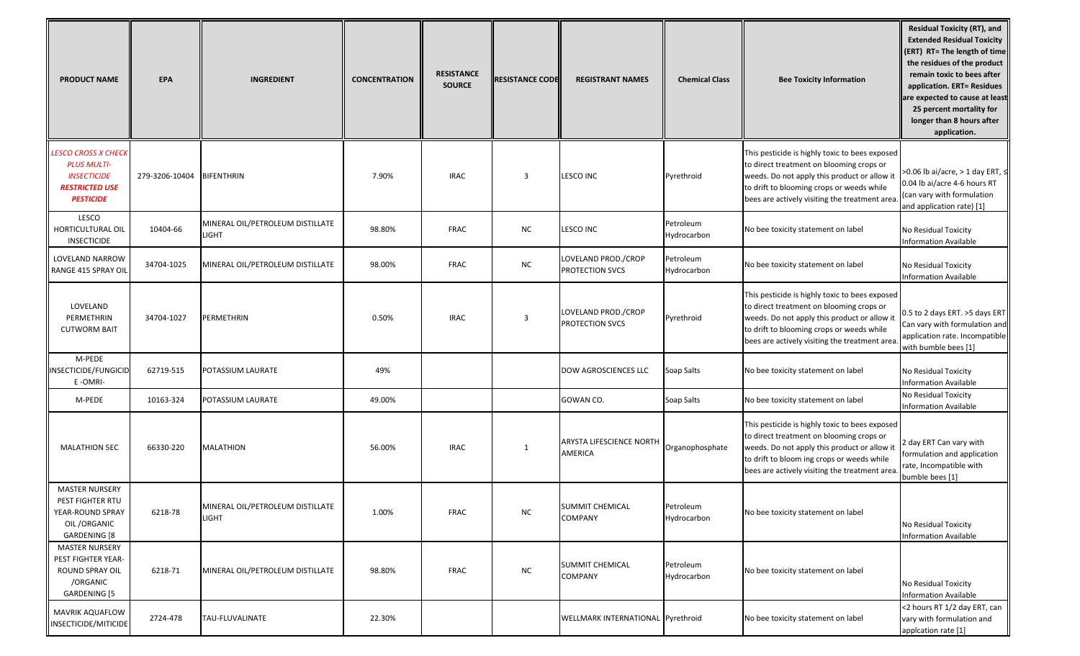| <b>PRODUCT NAME</b>                                                                                                | <b>EPA</b>     | <b>INGREDIENT</b>                         | <b>CONCENTRATION</b> | <b>RESISTANCE</b><br><b>SOURCE</b> | <b>RESISTANCE CODE</b>  | <b>REGISTRANT NAMES</b>                       | <b>Chemical Class</b>    | <b>Bee Toxicity Information</b>                                                                                                                                                                                                           | <b>Residual Toxicity (RT), and</b><br><b>Extended Residual Toxicity</b><br>(ERT) RT= The length of time<br>the residues of the product<br>remain toxic to bees after<br>application. ERT= Residues<br>are expected to cause at least<br>25 percent mortality for<br>longer than 8 hours after<br>application. |
|--------------------------------------------------------------------------------------------------------------------|----------------|-------------------------------------------|----------------------|------------------------------------|-------------------------|-----------------------------------------------|--------------------------|-------------------------------------------------------------------------------------------------------------------------------------------------------------------------------------------------------------------------------------------|---------------------------------------------------------------------------------------------------------------------------------------------------------------------------------------------------------------------------------------------------------------------------------------------------------------|
| ESCO CROSS X CHECK<br><b>PLUS MULTI-</b><br><b>INSECTICIDE</b><br><i><b>RESTRICTED USE</b></i><br><b>PESTICIDE</b> | 279-3206-10404 | BIFENTHRIN                                | 7.90%                | <b>IRAC</b>                        | $\overline{\mathbf{3}}$ | LESCO INC                                     | Pyrethroid               | This pesticide is highly toxic to bees exposed<br>to direct treatment on blooming crops or<br>weeds. Do not apply this product or allow it<br>to drift to blooming crops or weeds while<br>bees are actively visiting the treatment area. | >0.06 lb ai/acre, > 1 day ERT, ≤<br>0.04 lb ai/acre 4-6 hours RT<br>(can vary with formulation<br>and application rate) [1]                                                                                                                                                                                   |
| LESCO<br>HORTICULTURAL OIL<br><b>INSECTICIDE</b>                                                                   | 10404-66       | MINERAL OIL/PETROLEUM DISTILLATE<br>LIGHT | 98.80%               | <b>FRAC</b>                        | <b>NC</b>               | <b>LESCO INC</b>                              | Petroleum<br>Hydrocarbon | No bee toxicity statement on label                                                                                                                                                                                                        | No Residual Toxicity<br>Information Available                                                                                                                                                                                                                                                                 |
| LOVELAND NARROW<br>RANGE 415 SPRAY OIL                                                                             | 34704-1025     | MINERAL OIL/PETROLEUM DISTILLATE          | 98.00%               | <b>FRAC</b>                        | <b>NC</b>               | LOVELAND PROD./CROP<br><b>PROTECTION SVCS</b> | Petroleum<br>Hydrocarbon | No bee toxicity statement on label                                                                                                                                                                                                        | No Residual Toxicity<br>Information Available                                                                                                                                                                                                                                                                 |
| LOVELAND<br>PERMETHRIN<br>CUTWORM BAIT                                                                             | 34704-1027     | PERMETHRIN                                | 0.50%                | <b>IRAC</b>                        | $\overline{\mathbf{3}}$ | LOVELAND PROD./CROP<br><b>PROTECTION SVCS</b> | Pyrethroid               | This pesticide is highly toxic to bees exposed<br>to direct treatment on blooming crops or<br>weeds. Do not apply this product or allow it<br>to drift to blooming crops or weeds while<br>bees are actively visiting the treatment area  | 0.5 to 2 days ERT. >5 days ERT<br>Can vary with formulation and<br>application rate. Incompatible<br>with bumble bees [1]                                                                                                                                                                                     |
| M-PEDE<br>INSECTICIDE/FUNGICID<br>E-OMRI-                                                                          | 62719-515      | POTASSIUM LAURATE                         | 49%                  |                                    |                         | DOW AGROSCIENCES LLC                          | Soap Salts               | No bee toxicity statement on label                                                                                                                                                                                                        | No Residual Toxicity<br><b>Information Available</b>                                                                                                                                                                                                                                                          |
| M-PEDE                                                                                                             | 10163-324      | POTASSIUM LAURATE                         | 49.00%               |                                    |                         | GOWAN CO.                                     | Soap Salts               | No bee toxicity statement on label                                                                                                                                                                                                        | No Residual Toxicity<br><b>Information Available</b>                                                                                                                                                                                                                                                          |
| <b>MALATHION 5EC</b>                                                                                               | 66330-220      | MALATHION                                 | 56.00%               | <b>IRAC</b>                        | $\mathbf{1}$            | <b>ARYSTA LIFESCIENCE NORTH</b><br>AMERICA    | Organophosphate          | This pesticide is highly toxic to bees exposed<br>to direct treatment on blooming crops or<br>weeds. Do not apply this product or allow it<br>to drift to bloom ing crops or weeds while<br>bees are actively visiting the treatment area | 2 day ERT Can vary with<br>formulation and application<br>rate, Incompatible with<br>bumble bees [1]                                                                                                                                                                                                          |
| <b>MASTER NURSERY</b><br>PEST FIGHTER RTU<br>YEAR-ROUND SPRAY<br>OIL/ORGANIC<br><b>GARDENING [8</b>                | 6218-78        | MINERAL OIL/PETROLEUM DISTILLATE<br>LIGHT | 1.00%                | <b>FRAC</b>                        | <b>NC</b>               | <b>SUMMIT CHEMICAL</b><br><b>COMPANY</b>      | Petroleum<br>Hydrocarbon | No bee toxicity statement on label                                                                                                                                                                                                        | No Residual Toxicity<br><b>Information Available</b>                                                                                                                                                                                                                                                          |
| <b>MASTER NURSERY</b><br>PEST FIGHTER YEAR-<br>ROUND SPRAY OIL<br>/ORGANIC<br><b>GARDENING [5</b>                  | 6218-71        | MINERAL OIL/PETROLEUM DISTILLATE          | 98.80%               | <b>FRAC</b>                        | <b>NC</b>               | <b>SUMMIT CHEMICAL</b><br><b>COMPANY</b>      | Petroleum<br>Hydrocarbon | No bee toxicity statement on label                                                                                                                                                                                                        | No Residual Toxicity<br><b>Information Available</b>                                                                                                                                                                                                                                                          |
| MAVRIK AQUAFLOW<br>NSECTICIDE/MITICIDE                                                                             | 2724-478       | <b>TAU-FLUVALINATE</b>                    | 22.30%               |                                    |                         | WELLMARK INTERNATIONAL Pyrethroid             |                          | No bee toxicity statement on label                                                                                                                                                                                                        | <2 hours RT 1/2 day ERT, can<br>vary with formulation and<br>applcation rate [1]                                                                                                                                                                                                                              |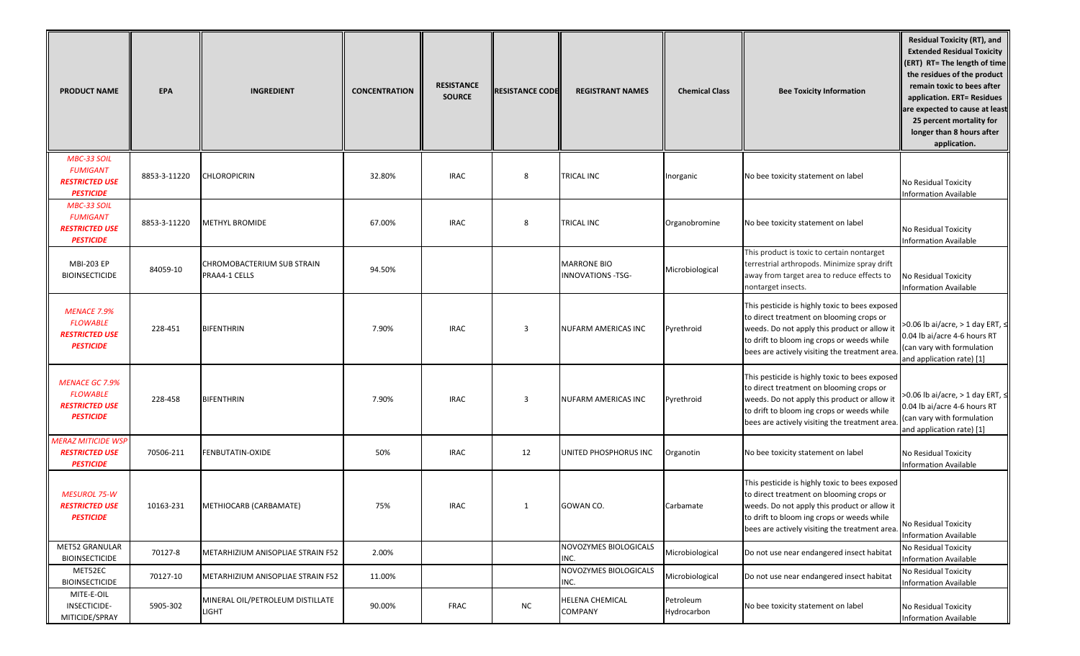| <b>PRODUCT NAME</b>                                                                   | <b>EPA</b>   | <b>INGREDIENT</b>                           | <b>CONCENTRATION</b> | <b>RESISTANCE</b><br><b>SOURCE</b> | <b>RESISTANCE CODE</b> | <b>REGISTRANT NAMES</b>                 | <b>Chemical Class</b>    | <b>Bee Toxicity Information</b>                                                                                                                                                                                                            | <b>Residual Toxicity (RT), and</b><br><b>Extended Residual Toxicity</b><br>(ERT) RT= The length of time<br>the residues of the product<br>remain toxic to bees after<br>application. ERT= Residues<br>are expected to cause at least<br>25 percent mortality for<br>longer than 8 hours after<br>application. |
|---------------------------------------------------------------------------------------|--------------|---------------------------------------------|----------------------|------------------------------------|------------------------|-----------------------------------------|--------------------------|--------------------------------------------------------------------------------------------------------------------------------------------------------------------------------------------------------------------------------------------|---------------------------------------------------------------------------------------------------------------------------------------------------------------------------------------------------------------------------------------------------------------------------------------------------------------|
| MBC-33 SOIL<br><b>FUMIGANT</b><br><b>RESTRICTED USE</b><br><b>PESTICIDE</b>           | 8853-3-11220 | <b>CHLOROPICRIN</b>                         | 32.80%               | <b>IRAC</b>                        | 8                      | TRICAL INC                              | Inorganic                | No bee toxicity statement on label                                                                                                                                                                                                         | No Residual Toxicity<br><b>Information Available</b>                                                                                                                                                                                                                                                          |
| MBC-33 SOIL<br><b>FUMIGANT</b><br><b>RESTRICTED USE</b><br><b>PESTICIDE</b>           | 8853-3-11220 | METHYL BROMIDE                              | 67.00%               | <b>IRAC</b>                        | 8                      | TRICAL INC                              | Organobromine            | No bee toxicity statement on label                                                                                                                                                                                                         | No Residual Toxicity<br><b>Information Available</b>                                                                                                                                                                                                                                                          |
| <b>MBI-203 EP</b><br><b>BIOINSECTICIDE</b>                                            | 84059-10     | CHROMOBACTERIUM SUB STRAIN<br>PRAA4-1 CELLS | 94.50%               |                                    |                        | <b>MARRONE BIO</b><br>INNOVATIONS -TSG- | Microbiological          | This product is toxic to certain nontarget<br>terrestrial arthropods. Minimize spray drift<br>away from target area to reduce effects to<br>nontarget insects.                                                                             | No Residual Toxicity<br>Information Available                                                                                                                                                                                                                                                                 |
| <b>MENACE 7.9%</b><br><b>FLOWABLE</b><br><b>RESTRICTED USE</b><br><b>PESTICIDE</b>    | 228-451      | BIFENTHRIN                                  | 7.90%                | <b>IRAC</b>                        | 3                      | NUFARM AMERICAS INC                     | Pyrethroid               | This pesticide is highly toxic to bees exposed<br>to direct treatment on blooming crops or<br>weeds. Do not apply this product or allow it<br>to drift to bloom ing crops or weeds while<br>bees are actively visiting the treatment area. | >0.06 lb ai/acre, > 1 day ERT, ≤<br>0.04 lb ai/acre 4-6 hours RT<br>(can vary with formulation<br>and application rate) [1]                                                                                                                                                                                   |
| <b>MENACE GC 7.9%</b><br><b>FLOWABLE</b><br><b>RESTRICTED USE</b><br><b>PESTICIDE</b> | 228-458      | BIFENTHRIN                                  | 7.90%                | <b>IRAC</b>                        | 3                      | <b>NUFARM AMERICAS INC</b>              | Pyrethroid               | This pesticide is highly toxic to bees exposed<br>to direct treatment on blooming crops or<br>weeds. Do not apply this product or allow it<br>to drift to bloom ing crops or weeds while<br>bees are actively visiting the treatment area. | >0.06 lb ai/acre, > 1 day ERT, ≤<br>0.04 lb ai/acre 4-6 hours RT<br>(can vary with formulation<br>and application rate) [1]                                                                                                                                                                                   |
| <b>MERAZ MITICIDE WSP</b><br><b>RESTRICTED USE</b><br><b>PESTICIDE</b>                | 70506-211    | <b>FENBUTATIN-OXIDE</b>                     | 50%                  | <b>IRAC</b>                        | 12                     | UNITED PHOSPHORUS INC                   | Organotin                | No bee toxicity statement on label                                                                                                                                                                                                         | No Residual Toxicity<br>Information Available                                                                                                                                                                                                                                                                 |
| <b>MESUROL 75-W</b><br><b>RESTRICTED USE</b><br><b>PESTICIDE</b>                      | 10163-231    | <b>METHIOCARB (CARBAMATE)</b>               | 75%                  | <b>IRAC</b>                        | 1                      | GOWAN CO.                               | Carbamate                | This pesticide is highly toxic to bees exposed<br>to direct treatment on blooming crops or<br>weeds. Do not apply this product or allow it<br>to drift to bloom ing crops or weeds while<br>bees are actively visiting the treatment area. | No Residual Toxicity<br><b>Information Available</b>                                                                                                                                                                                                                                                          |
| MET52 GRANULAR<br><b>BIOINSECTICIDE</b>                                               | 70127-8      | METARHIZIUM ANISOPLIAE STRAIN F52           | 2.00%                |                                    |                        | NOVOZYMES BIOLOGICALS<br>INC.           | Microbiological          | Do not use near endangered insect habitat                                                                                                                                                                                                  | No Residual Toxicity<br><b>Information Available</b>                                                                                                                                                                                                                                                          |
| MET52EC<br><b>BIOINSECTICIDE</b>                                                      | 70127-10     | METARHIZIUM ANISOPLIAE STRAIN F52           | 11.00%               |                                    |                        | NOVOZYMES BIOLOGICALS<br>INC.           | Microbiological          | Do not use near endangered insect habitat                                                                                                                                                                                                  | No Residual Toxicity<br><b>Information Available</b>                                                                                                                                                                                                                                                          |
| MITE-E-OIL<br>INSECTICIDE-<br>MITICIDE/SPRAY                                          | 5905-302     | MINERAL OIL/PETROLEUM DISTILLATE<br>LIGHT   | 90.00%               | FRAC                               | <b>NC</b>              | HELENA CHEMICAL<br><b>COMPANY</b>       | Petroleum<br>Hydrocarbon | No bee toxicity statement on label                                                                                                                                                                                                         | No Residual Toxicity<br>Information Available                                                                                                                                                                                                                                                                 |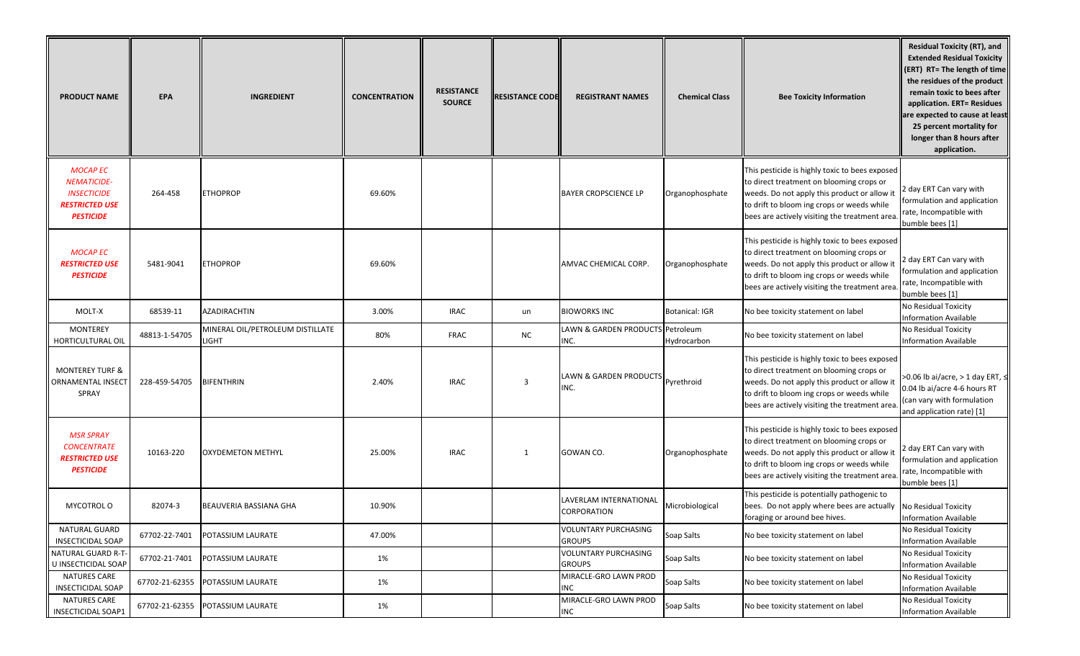| <b>PRODUCT NAME</b>                                                                                            | EPA            | <b>INGREDIENT</b>                                | <b>CONCENTRATION</b> | <b>RESISTANCE</b><br><b>SOURCE</b> | <b>RESISTANCE CODE</b> | <b>REGISTRANT NAMES</b>                      | <b>Chemical Class</b> | <b>Bee Toxicity Information</b>                                                                                                                                                                                                            | <b>Residual Toxicity (RT), and</b><br><b>Extended Residual Toxicity</b><br>(ERT) RT= The length of time<br>the residues of the product<br>remain toxic to bees after<br>application. ERT= Residues<br>are expected to cause at least<br>25 percent mortality for<br>longer than 8 hours after<br>application. |
|----------------------------------------------------------------------------------------------------------------|----------------|--------------------------------------------------|----------------------|------------------------------------|------------------------|----------------------------------------------|-----------------------|--------------------------------------------------------------------------------------------------------------------------------------------------------------------------------------------------------------------------------------------|---------------------------------------------------------------------------------------------------------------------------------------------------------------------------------------------------------------------------------------------------------------------------------------------------------------|
| <b>MOCAPEC</b><br><b>NEMATICIDE-</b><br><b>INSECTICIDE</b><br><i><b>RESTRICTED USE</b></i><br><b>PESTICIDE</b> | 264-458        | <b>ETHOPROP</b>                                  | 69.60%               |                                    |                        | <b>BAYER CROPSCIENCE LP</b>                  | Organophosphate       | This pesticide is highly toxic to bees exposed<br>to direct treatment on blooming crops or<br>weeds. Do not apply this product or allow it<br>to drift to bloom ing crops or weeds while<br>bees are actively visiting the treatment area  | 2 day ERT Can vary with<br>formulation and application<br>rate, Incompatible with<br>bumble bees [1]                                                                                                                                                                                                          |
| <b>MOCAPEC</b><br>RESTRICTED USE<br><b>PESTICIDE</b>                                                           | 5481-9041      | <b>ETHOPROP</b>                                  | 69.60%               |                                    |                        | AMVAC CHEMICAL CORP.                         | Organophosphate       | This pesticide is highly toxic to bees exposed<br>to direct treatment on blooming crops or<br>weeds. Do not apply this product or allow it<br>to drift to bloom ing crops or weeds while<br>bees are actively visiting the treatment area  | 2 day ERT Can vary with<br>formulation and application<br>rate, Incompatible with<br>bumble bees [1]                                                                                                                                                                                                          |
| MOLT-X                                                                                                         | 68539-11       | <b>AZADIRACHTIN</b>                              | 3.00%                | <b>IRAC</b>                        | un                     | <b>BIOWORKS INC</b>                          | <b>Botanical: IGR</b> | No bee toxicity statement on label                                                                                                                                                                                                         | No Residual Toxicity<br><b>Information Available</b>                                                                                                                                                                                                                                                          |
| <b>MONTEREY</b><br>HORTICULTURAL OIL                                                                           | 48813-1-54705  | MINERAL OIL/PETROLEUM DISTILLATE<br><b>LIGHT</b> | 80%                  | FRAC                               | <b>NC</b>              | LAWN & GARDEN PRODUCTS Petroleum<br>INC.     | Hydrocarbon           | No bee toxicity statement on label                                                                                                                                                                                                         | No Residual Toxicity<br>Information Available                                                                                                                                                                                                                                                                 |
| <b>MONTEREY TURF &amp;</b><br>ORNAMENTAL INSECT<br>SPRAY                                                       | 228-459-54705  | BIFENTHRIN                                       | 2.40%                | <b>IRAC</b>                        | $\overline{3}$         | LAWN & GARDEN PRODUCTS<br>INC.               | Pyrethroid            | This pesticide is highly toxic to bees exposed<br>to direct treatment on blooming crops or<br>weeds. Do not apply this product or allow it<br>to drift to bloom ing crops or weeds while<br>bees are actively visiting the treatment area  | >0.06 lb ai/acre, > 1 day ERT, ≤<br>0.04 lb ai/acre 4-6 hours RT<br>(can vary with formulation<br>and application rate) [1]                                                                                                                                                                                   |
| <b>MSR SPRAY</b><br><b>CONCENTRATE</b><br><b>RESTRICTED USE</b><br><b>PESTICIDE</b>                            | 10163-220      | <b>OXYDEMETON METHYL</b>                         | 25.00%               | <b>IRAC</b>                        | 1                      | GOWAN CO.                                    | Organophosphate       | This pesticide is highly toxic to bees exposed<br>to direct treatment on blooming crops or<br>weeds. Do not apply this product or allow it<br>to drift to bloom ing crops or weeds while<br>bees are actively visiting the treatment area. | day ERT Can vary with<br>formulation and application<br>rate, Incompatible with<br>bumble bees [1]                                                                                                                                                                                                            |
| MYCOTROL O                                                                                                     | 82074-3        | BEAUVERIA BASSIANA GHA                           | 10.90%               |                                    |                        | LAVERLAM INTERNATIONAL<br>CORPORATION        | Microbiological       | This pesticide is potentially pathogenic to<br>bees. Do not apply where bees are actually No Residual Toxicity<br>foraging or around bee hives.                                                                                            | <b>Information Available</b>                                                                                                                                                                                                                                                                                  |
| NATURAL GUARD<br><b>INSECTICIDAL SOAP</b>                                                                      | 67702-22-7401  | POTASSIUM LAURATE                                | 47.00%               |                                    |                        | <b>VOLUNTARY PURCHASING</b><br><b>GROUPS</b> | Soap Salts            | No bee toxicity statement on label                                                                                                                                                                                                         | No Residual Toxicity<br><b>Information Available</b>                                                                                                                                                                                                                                                          |
| NATURAL GUARD R-T-<br>U INSECTICIDAL SOAP                                                                      | 67702-21-7401  | POTASSIUM LAURATE                                | 1%                   |                                    |                        | <b>VOLUNTARY PURCHASING</b><br><b>GROUPS</b> | Soap Salts            | No bee toxicity statement on label                                                                                                                                                                                                         | No Residual Toxicity<br><b>Information Available</b>                                                                                                                                                                                                                                                          |
| NATURES CARE<br><b>INSECTICIDAL SOAP</b>                                                                       | 67702-21-62355 | POTASSIUM LAURATE                                | 1%                   |                                    |                        | MIRACLE-GRO LAWN PROD<br><b>INC</b>          | Soap Salts            | No bee toxicity statement on label                                                                                                                                                                                                         | No Residual Toxicity<br><b>Information Available</b>                                                                                                                                                                                                                                                          |
| <b>NATURES CARE</b><br>INSECTICIDAL SOAP1                                                                      | 67702-21-62355 | POTASSIUM LAURATE                                | 1%                   |                                    |                        | MIRACLE-GRO LAWN PROD<br><b>INC</b>          | Soap Salts            | No bee toxicity statement on label                                                                                                                                                                                                         | No Residual Toxicity<br><b>Information Available</b>                                                                                                                                                                                                                                                          |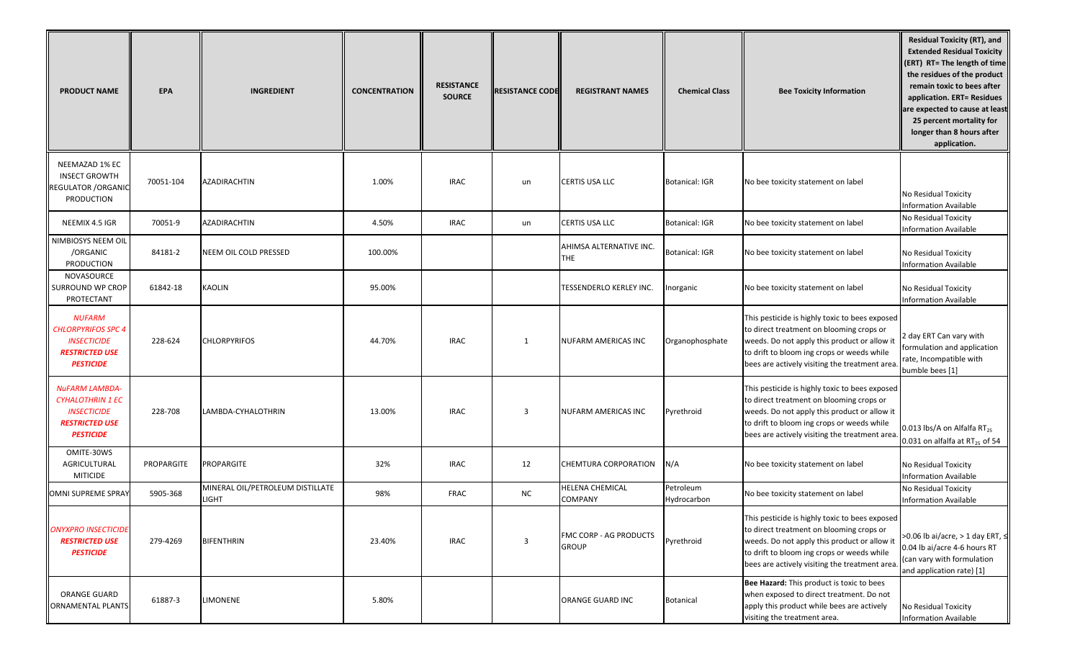| <b>PRODUCT NAME</b>                                                                                                 | <b>EPA</b> | <b>INGREDIENT</b>                         | <b>CONCENTRATION</b> | <b>RESISTANCE</b><br><b>SOURCE</b> | <b>RESISTANCE CODE</b> | <b>REGISTRANT NAMES</b>                | <b>Chemical Class</b>    | <b>Bee Toxicity Information</b>                                                                                                                                                                                                           | <b>Residual Toxicity (RT), and</b><br><b>Extended Residual Toxicity</b><br>(ERT) RT= The length of time<br>the residues of the product<br>remain toxic to bees after<br>application. ERT= Residues<br>are expected to cause at least<br>25 percent mortality for<br>longer than 8 hours after<br>application. |
|---------------------------------------------------------------------------------------------------------------------|------------|-------------------------------------------|----------------------|------------------------------------|------------------------|----------------------------------------|--------------------------|-------------------------------------------------------------------------------------------------------------------------------------------------------------------------------------------------------------------------------------------|---------------------------------------------------------------------------------------------------------------------------------------------------------------------------------------------------------------------------------------------------------------------------------------------------------------|
| NEEMAZAD 1% EC<br><b>INSECT GROWTH</b><br><b>REGULATOR / ORGANIC</b><br>PRODUCTION                                  | 70051-104  | <b>AZADIRACHTIN</b>                       | 1.00%                | <b>IRAC</b>                        | un                     | <b>CERTIS USA LLC</b>                  | Botanical: IGR           | No bee toxicity statement on label                                                                                                                                                                                                        | No Residual Toxicity<br>Information Available                                                                                                                                                                                                                                                                 |
| NEEMIX 4.5 IGR                                                                                                      | 70051-9    | AZADIRACHTIN                              | 4.50%                | <b>IRAC</b>                        | un                     | CERTIS USA LLC                         | Botanical: IGR           | No bee toxicity statement on label                                                                                                                                                                                                        | No Residual Toxicity<br><b>Information Available</b>                                                                                                                                                                                                                                                          |
| NIMBIOSYS NEEM OIL<br>/ORGANIC<br>PRODUCTION                                                                        | 84181-2    | <b>NEEM OIL COLD PRESSED</b>              | 100.00%              |                                    |                        | AHIMSA ALTERNATIVE INC.<br>THE         | Botanical: IGR           | No bee toxicity statement on label                                                                                                                                                                                                        | No Residual Toxicity<br><b>Information Available</b>                                                                                                                                                                                                                                                          |
| NOVASOURCE<br>SURROUND WP CROP<br>PROTECTANT                                                                        | 61842-18   | <b>KAOLIN</b>                             | 95.00%               |                                    |                        | TESSENDERLO KERLEY INC.                | norganic                 | No bee toxicity statement on label                                                                                                                                                                                                        | No Residual Toxicity<br>Information Available                                                                                                                                                                                                                                                                 |
| <b>NUFARM</b><br><b>CHLORPYRIFOS SPC 4</b><br><b>INSECTICIDE</b><br><b>RESTRICTED USE</b><br><b>PESTICIDE</b>       | 228-624    | <b>CHLORPYRIFOS</b>                       | 44.70%               | <b>IRAC</b>                        | 1                      | <b>NUFARM AMERICAS INC</b>             | Organophosphate          | This pesticide is highly toxic to bees exposed<br>to direct treatment on blooming crops or<br>weeds. Do not apply this product or allow it<br>to drift to bloom ing crops or weeds while<br>bees are actively visiting the treatment area | 2 day ERT Can vary with<br>formulation and application<br>rate, Incompatible with<br>bumble bees [1]                                                                                                                                                                                                          |
| <b>NUFARM LAMBDA-</b><br><b>CYHALOTHRIN 1 EC</b><br><b>INSECTICIDE</b><br><b>RESTRICTED USE</b><br><b>PESTICIDE</b> | 228-708    | LAMBDA-CYHALOTHRIN                        | 13.00%               | <b>IRAC</b>                        | 3                      | NUFARM AMERICAS INC                    | Pyrethroid               | This pesticide is highly toxic to bees exposed<br>to direct treatment on blooming crops or<br>weeds. Do not apply this product or allow it<br>to drift to bloom ing crops or weeds while<br>bees are actively visiting the treatment area | 0.013 lbs/A on Alfalfa RT <sub>25</sub><br>0.031 on alfalfa at $RT_{25}$ of 54                                                                                                                                                                                                                                |
| OMITE-30WS<br>AGRICULTURAL<br><b>MITICIDE</b>                                                                       | PROPARGITE | PROPARGITE                                | 32%                  | <b>IRAC</b>                        | 12                     | CHEMTURA CORPORATION                   | N/A                      | No bee toxicity statement on label                                                                                                                                                                                                        | No Residual Toxicity<br><b>Information Available</b>                                                                                                                                                                                                                                                          |
| <b>OMNI SUPREME SPRAY</b>                                                                                           | 5905-368   | MINERAL OIL/PETROLEUM DISTILLATE<br>LIGHT | 98%                  | FRAC                               | NC                     | HELENA CHEMICAL<br>COMPANY             | Petroleum<br>Hydrocarbon | No bee toxicity statement on label                                                                                                                                                                                                        | No Residual Toxicity<br>Information Available                                                                                                                                                                                                                                                                 |
| <b>ONYXPRO INSECTICIDE</b><br><b>RESTRICTED USE</b><br><b>PESTICIDE</b>                                             | 279-4269   | BIFENTHRIN                                | 23.40%               | <b>IRAC</b>                        | 3                      | FMC CORP - AG PRODUCTS<br><b>GROUP</b> | Pyrethroid               | This pesticide is highly toxic to bees exposed<br>to direct treatment on blooming crops or<br>weeds. Do not apply this product or allow it<br>to drift to bloom ing crops or weeds while<br>bees are actively visiting the treatment area | >0.06 lb ai/acre, > 1 day ERT, ≤<br>0.04 lb ai/acre 4-6 hours RT<br>(can vary with formulation<br>and application rate) [1]                                                                                                                                                                                   |
| ORANGE GUARD<br><b>ORNAMENTAL PLANTS</b>                                                                            | 61887-3    | <b>LIMONENE</b>                           | 5.80%                |                                    |                        | ORANGE GUARD INC                       | Botanical                | Bee Hazard: This product is toxic to bees<br>when exposed to direct treatment. Do not<br>apply this product while bees are actively<br>visiting the treatment area.                                                                       | No Residual Toxicity<br>Information Available                                                                                                                                                                                                                                                                 |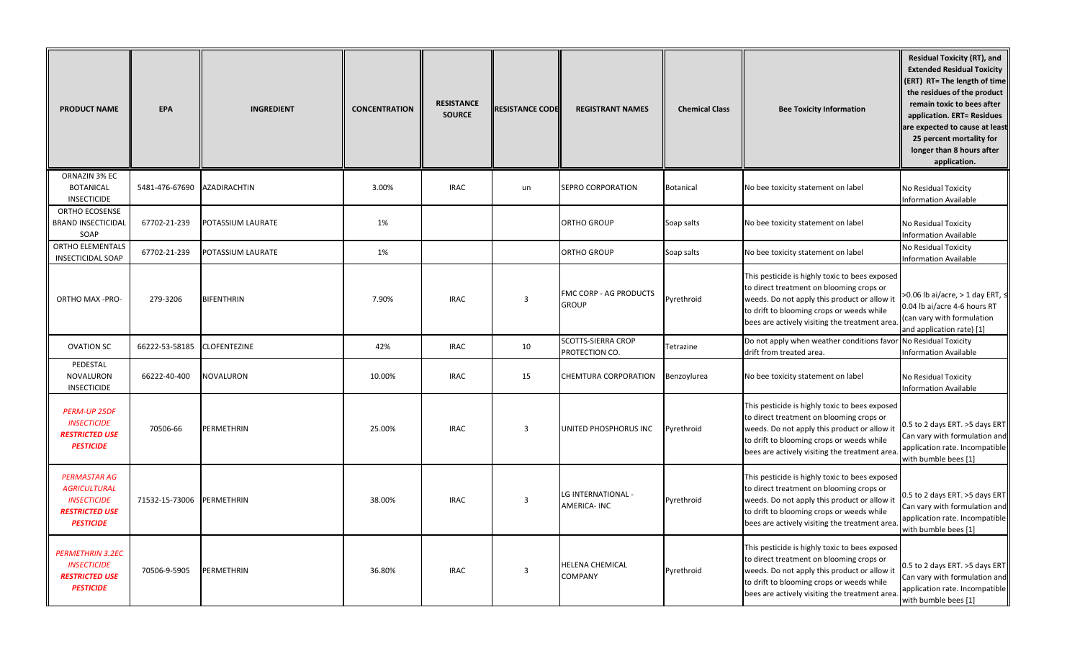| <b>PRODUCT NAME</b>                                                                                           | <b>EPA</b>     | <b>INGREDIENT</b>   | <b>CONCENTRATION</b> | <b>RESISTANCE</b><br><b>SOURCE</b> | <b>RESISTANCE CODE</b>  | <b>REGISTRANT NAMES</b>                       | <b>Chemical Class</b> | <b>Bee Toxicity Information</b>                                                                                                                                                                                                           | <b>Residual Toxicity (RT), and</b><br><b>Extended Residual Toxicity</b><br>(ERT) RT= The length of time<br>the residues of the product<br>remain toxic to bees after<br>application. ERT= Residues<br>re expected to cause at least<br>25 percent mortality for<br>longer than 8 hours after<br>application. |
|---------------------------------------------------------------------------------------------------------------|----------------|---------------------|----------------------|------------------------------------|-------------------------|-----------------------------------------------|-----------------------|-------------------------------------------------------------------------------------------------------------------------------------------------------------------------------------------------------------------------------------------|--------------------------------------------------------------------------------------------------------------------------------------------------------------------------------------------------------------------------------------------------------------------------------------------------------------|
| ORNAZIN 3% EC<br><b>BOTANICAL</b><br><b>INSECTICIDE</b>                                                       | 5481-476-67690 | AZADIRACHTIN        | 3.00%                | <b>IRAC</b>                        | un                      | <b>SEPRO CORPORATION</b>                      | Botanical             | No bee toxicity statement on label                                                                                                                                                                                                        | No Residual Toxicity<br>Information Available                                                                                                                                                                                                                                                                |
| ORTHO ECOSENSE<br><b>BRAND INSECTICIDAL</b><br>SOAP                                                           | 67702-21-239   | POTASSIUM LAURATE   | 1%                   |                                    |                         | <b>ORTHO GROUP</b>                            | Soap salts            | No bee toxicity statement on label                                                                                                                                                                                                        | No Residual Toxicity<br>Information Available                                                                                                                                                                                                                                                                |
| <b>ORTHO ELEMENTALS</b><br><b>INSECTICIDAL SOAP</b>                                                           | 67702-21-239   | POTASSIUM LAURATE   | 1%                   |                                    |                         | <b>ORTHO GROUP</b>                            | Soap salts            | No bee toxicity statement on label                                                                                                                                                                                                        | No Residual Toxicity<br>Information Available                                                                                                                                                                                                                                                                |
| ORTHO MAX -PRO-                                                                                               | 279-3206       | BIFENTHRIN          | 7.90%                | <b>IRAC</b>                        | $\overline{3}$          | <b>FMC CORP - AG PRODUCTS</b><br><b>GROUP</b> | Pyrethroid            | This pesticide is highly toxic to bees exposed<br>to direct treatment on blooming crops or<br>weeds. Do not apply this product or allow it<br>to drift to blooming crops or weeds while<br>bees are actively visiting the treatment area  | >0.06 lb ai/acre, > 1 day ERT, ≤<br>0.04 lb ai/acre 4-6 hours RT<br>(can vary with formulation<br>and application rate) [1]                                                                                                                                                                                  |
| <b>OVATION SC</b>                                                                                             | 66222-53-58185 | <b>CLOFENTEZINE</b> | 42%                  | <b>IRAC</b>                        | 10                      | <b>SCOTTS-SIERRA CROP</b><br>PROTECTION CO.   | Tetrazine             | Do not apply when weather conditions favor No Residual Toxicity<br>drift from treated area.                                                                                                                                               | Information Available                                                                                                                                                                                                                                                                                        |
| PEDESTAL<br><b>NOVALURON</b><br><b>INSECTICIDE</b>                                                            | 66222-40-400   | <b>NOVALURON</b>    | 10.00%               | <b>IRAC</b>                        | 15                      | CHEMTURA CORPORATION                          | Benzoylurea           | No bee toxicity statement on label                                                                                                                                                                                                        | No Residual Toxicity<br><b>Information Available</b>                                                                                                                                                                                                                                                         |
| <b>PERM-UP 25DF</b><br><b>INSECTICIDE</b><br><b>RESTRICTED USE</b><br><b>PESTICIDE</b>                        | 70506-66       | PERMETHRIN          | 25.00%               | <b>IRAC</b>                        | $\overline{3}$          | UNITED PHOSPHORUS INC                         | Pyrethroid            | This pesticide is highly toxic to bees exposed<br>to direct treatment on blooming crops or<br>weeds. Do not apply this product or allow it<br>to drift to blooming crops or weeds while<br>bees are actively visiting the treatment area. | 0.5 to 2 days ERT. >5 days ERT<br>Can vary with formulation and<br>application rate. Incompatible<br>with bumble bees [1]                                                                                                                                                                                    |
| <b>PERMASTAR AG</b><br><b>AGRICULTURAL</b><br><b>INSECTICIDE</b><br><b>RESTRICTED USE</b><br><b>PESTICIDE</b> | 71532-15-73006 | PERMETHRIN          | 38.00%               | <b>IRAC</b>                        | $\overline{\mathbf{3}}$ | LG INTERNATIONAL -<br><b>AMERICA-INC</b>      | Pyrethroid            | This pesticide is highly toxic to bees exposed<br>to direct treatment on blooming crops or<br>weeds. Do not apply this product or allow it<br>to drift to blooming crops or weeds while<br>bees are actively visiting the treatment area. | 0.5 to 2 days ERT. >5 days ERT<br>Can vary with formulation and<br>application rate. Incompatible<br>with bumble bees [1]                                                                                                                                                                                    |
| <b>PERMETHRIN 3.2EC</b><br><b>INSECTICIDE</b><br><b>RESTRICTED USE</b><br><b>PESTICIDE</b>                    | 70506-9-5905   | PERMETHRIN          | 36.80%               | <b>IRAC</b>                        | $\overline{3}$          | <b>HELENA CHEMICAL</b><br><b>COMPANY</b>      | Pyrethroid            | This pesticide is highly toxic to bees exposed<br>to direct treatment on blooming crops or<br>weeds. Do not apply this product or allow it<br>to drift to blooming crops or weeds while<br>bees are actively visiting the treatment area. | 0.5 to 2 days ERT. >5 days ERT<br>Can vary with formulation and<br>application rate. Incompatible<br>with bumble bees [1]                                                                                                                                                                                    |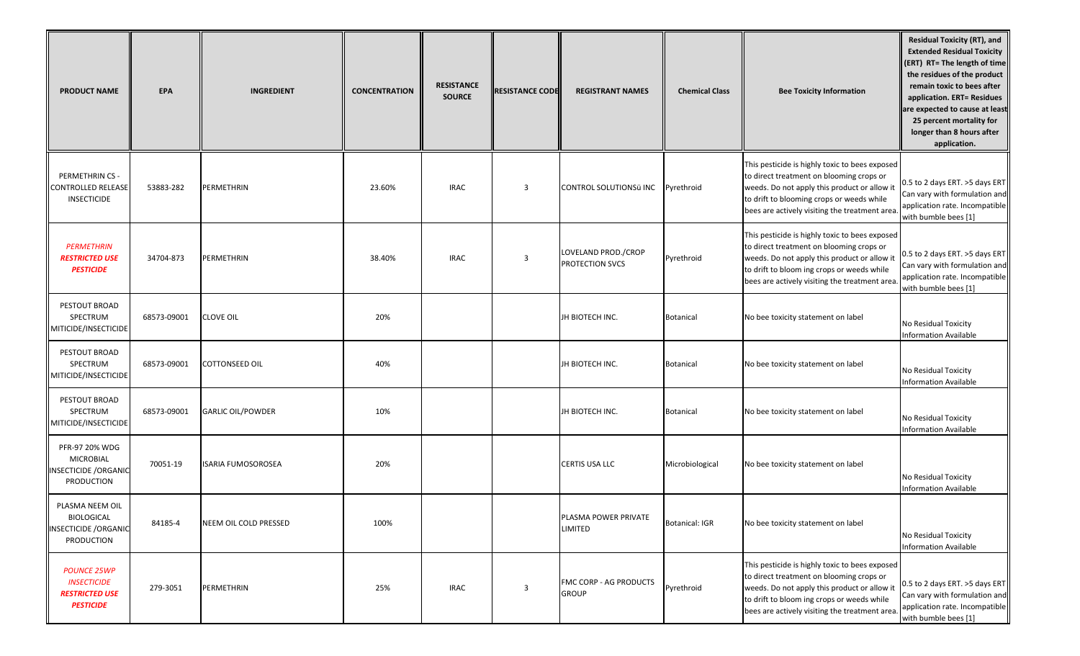| <b>PRODUCT NAME</b>                                                                   | <b>EPA</b>  | <b>INGREDIENT</b>        | <b>CONCENTRATION</b> | <b>RESISTANCE</b><br><b>SOURCE</b> | <b>RESISTANCE CODE</b> | <b>REGISTRANT NAMES</b>                       | <b>Chemical Class</b> | <b>Bee Toxicity Information</b>                                                                                                                                                                                                            | <b>Residual Toxicity (RT), and</b><br><b>Extended Residual Toxicity</b><br>(ERT) RT= The length of time<br>the residues of the product<br>remain toxic to bees after<br>application. ERT= Residues<br>are expected to cause at least<br>25 percent mortality for<br>longer than 8 hours after<br>application. |
|---------------------------------------------------------------------------------------|-------------|--------------------------|----------------------|------------------------------------|------------------------|-----------------------------------------------|-----------------------|--------------------------------------------------------------------------------------------------------------------------------------------------------------------------------------------------------------------------------------------|---------------------------------------------------------------------------------------------------------------------------------------------------------------------------------------------------------------------------------------------------------------------------------------------------------------|
| PERMETHRIN CS -<br><b>CONTROLLED RELEASE</b><br><b>INSECTICIDE</b>                    | 53883-282   | PERMETHRIN               | 23.60%               | <b>IRAC</b>                        | 3                      | CONTROL SOLUTIONSü INC                        | Pyrethroid            | This pesticide is highly toxic to bees exposed<br>to direct treatment on blooming crops or<br>weeds. Do not apply this product or allow it<br>to drift to blooming crops or weeds while<br>bees are actively visiting the treatment area.  | 0.5 to 2 days ERT. >5 days ERT<br>Can vary with formulation and<br>application rate. Incompatible<br>with bumble bees [1]                                                                                                                                                                                     |
| <b>PERMETHRIN</b><br><b>RESTRICTED USE</b><br><b>PESTICIDE</b>                        | 34704-873   | PERMETHRIN               | 38.40%               | <b>IRAC</b>                        | 3                      | LOVELAND PROD./CROP<br><b>PROTECTION SVCS</b> | Pyrethroid            | This pesticide is highly toxic to bees exposed<br>to direct treatment on blooming crops or<br>weeds. Do not apply this product or allow it<br>to drift to bloom ing crops or weeds while<br>bees are actively visiting the treatment area. | 0.5 to 2 days ERT. >5 days ERT<br>Can vary with formulation and<br>application rate. Incompatible<br>with bumble bees [1]                                                                                                                                                                                     |
| PESTOUT BROAD<br>SPECTRUM<br>MITICIDE/INSECTICIDE                                     | 68573-09001 | <b>CLOVE OIL</b>         | 20%                  |                                    |                        | JH BIOTECH INC.                               | Botanical             | No bee toxicity statement on label                                                                                                                                                                                                         | No Residual Toxicity<br><b>Information Available</b>                                                                                                                                                                                                                                                          |
| PESTOUT BROAD<br>SPECTRUM<br>MITICIDE/INSECTICIDE                                     | 68573-09001 | <b>COTTONSEED OIL</b>    | 40%                  |                                    |                        | JH BIOTECH INC.                               | Botanical             | No bee toxicity statement on label                                                                                                                                                                                                         | No Residual Toxicity<br><b>Information Available</b>                                                                                                                                                                                                                                                          |
| PESTOUT BROAD<br>SPECTRUM<br>MITICIDE/INSECTICIDE                                     | 68573-09001 | <b>GARLIC OIL/POWDER</b> | 10%                  |                                    |                        | JH BIOTECH INC.                               | Botanical             | No bee toxicity statement on label                                                                                                                                                                                                         | No Residual Toxicity<br>Information Available                                                                                                                                                                                                                                                                 |
| PFR-97 20% WDG<br><b>MICROBIAL</b><br><b>INSECTICIDE / ORGANIC</b><br>PRODUCTION      | 70051-19    | ISARIA FUMOSOROSEA       | 20%                  |                                    |                        | CERTIS USA LLC                                | Microbiological       | No bee toxicity statement on label                                                                                                                                                                                                         | No Residual Toxicity<br>Information Available                                                                                                                                                                                                                                                                 |
| PLASMA NEEM OIL<br><b>BIOLOGICAL</b><br><b>INSECTICIDE / ORGANIC</b><br>PRODUCTION    | 84185-4     | NEEM OIL COLD PRESSED    | 100%                 |                                    |                        | PLASMA POWER PRIVATE<br><b>LIMITED</b>        | Botanical: IGR        | No bee toxicity statement on label                                                                                                                                                                                                         | No Residual Toxicity<br><b>Information Available</b>                                                                                                                                                                                                                                                          |
| <b>POUNCE 25WP</b><br><b>INSECTICIDE</b><br><b>RESTRICTED USE</b><br><b>PESTICIDE</b> | 279-3051    | PERMETHRIN               | 25%                  | <b>IRAC</b>                        | 3                      | FMC CORP - AG PRODUCTS<br><b>GROUP</b>        | Pyrethroid            | This pesticide is highly toxic to bees exposed<br>to direct treatment on blooming crops or<br>weeds. Do not apply this product or allow it<br>to drift to bloom ing crops or weeds while<br>bees are actively visiting the treatment area. | 0.5 to 2 days ERT. >5 days ERT<br>Can vary with formulation and<br>application rate. Incompatible<br>with bumble bees [1]                                                                                                                                                                                     |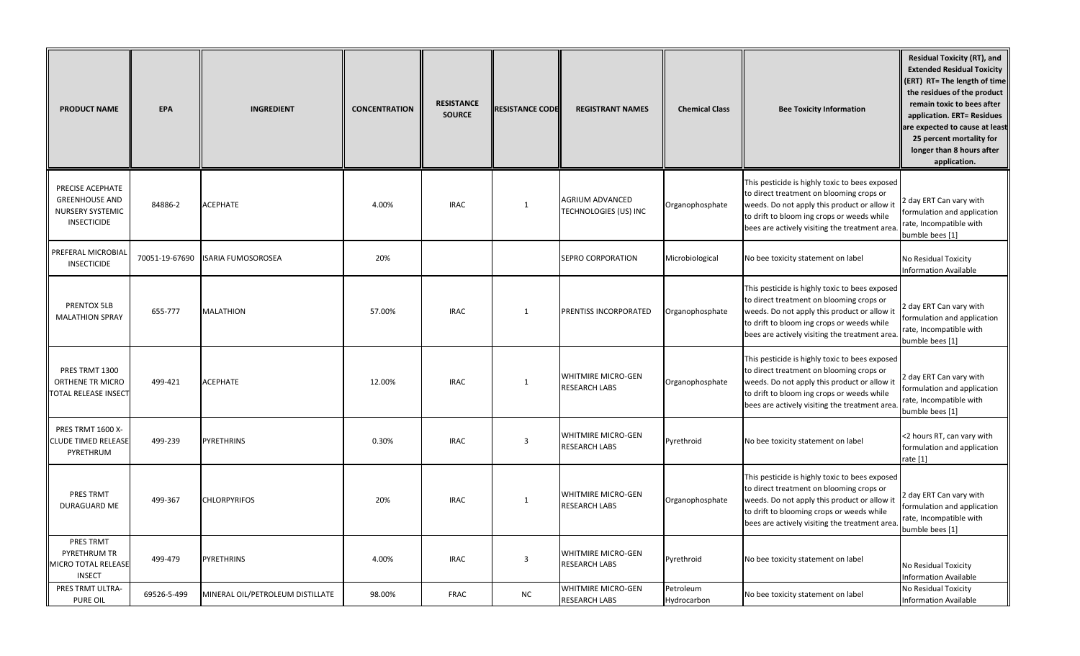| <b>PRODUCT NAME</b>                                                                 | <b>EPA</b>     | <b>INGREDIENT</b>                | <b>CONCENTRATION</b> | <b>RESISTANCE</b><br><b>SOURCE</b> | <b>RESISTANCE CODE</b> | <b>REGISTRANT NAMES</b>                           | <b>Chemical Class</b>    | <b>Bee Toxicity Information</b>                                                                                                                                                                                                           | <b>Residual Toxicity (RT), and</b><br><b>Extended Residual Toxicity</b><br>(ERT) RT= The length of time<br>the residues of the product<br>remain toxic to bees after<br>application. ERT= Residues<br>are expected to cause at least<br>25 percent mortality for<br>longer than 8 hours after<br>application. |
|-------------------------------------------------------------------------------------|----------------|----------------------------------|----------------------|------------------------------------|------------------------|---------------------------------------------------|--------------------------|-------------------------------------------------------------------------------------------------------------------------------------------------------------------------------------------------------------------------------------------|---------------------------------------------------------------------------------------------------------------------------------------------------------------------------------------------------------------------------------------------------------------------------------------------------------------|
| PRECISE ACEPHATE<br><b>GREENHOUSE AND</b><br>NURSERY SYSTEMIC<br><b>INSECTICIDE</b> | 84886-2        | ACEPHATE                         | 4.00%                | <b>IRAC</b>                        | $\overline{1}$         | <b>AGRIUM ADVANCED</b><br>TECHNOLOGIES (US) INC   | Organophosphate          | This pesticide is highly toxic to bees exposed<br>to direct treatment on blooming crops or<br>weeds. Do not apply this product or allow it<br>to drift to bloom ing crops or weeds while<br>bees are actively visiting the treatment area | day ERT Can vary with<br>formulation and application<br>rate, Incompatible with<br>bumble bees [1]                                                                                                                                                                                                            |
| PREFERAL MICROBIAL<br><b>INSECTICIDE</b>                                            | 70051-19-67690 | SARIA FUMOSOROSEA                | 20%                  |                                    |                        | <b>SEPRO CORPORATION</b>                          | Microbiological          | No bee toxicity statement on label                                                                                                                                                                                                        | No Residual Toxicity<br>Information Available                                                                                                                                                                                                                                                                 |
| PRENTOX 5LB<br><b>MALATHION SPRAY</b>                                               | 655-777        | <b>MALATHION</b>                 | 57.00%               | <b>IRAC</b>                        | $\mathbf{1}$           | PRENTISS INCORPORATED                             | Organophosphate          | This pesticide is highly toxic to bees exposed<br>to direct treatment on blooming crops or<br>weeds. Do not apply this product or allow it<br>to drift to bloom ing crops or weeds while<br>bees are actively visiting the treatment area | day ERT Can vary with<br>formulation and application<br>rate, Incompatible with<br>bumble bees [1]                                                                                                                                                                                                            |
| PRES TRMT 1300<br>ORTHENE TR MICRO<br><b>OTAL RELEASE INSECT</b>                    | 499-421        | ACEPHATE                         | 12.00%               | <b>IRAC</b>                        | $\mathbf{1}$           | WHITMIRE MICRO-GEN<br>RESEARCH LABS               | Organophosphate          | This pesticide is highly toxic to bees exposed<br>to direct treatment on blooming crops or<br>weeds. Do not apply this product or allow it<br>to drift to bloom ing crops or weeds while<br>bees are actively visiting the treatment area | 2 day ERT Can vary with<br>formulation and application<br>rate, Incompatible with<br>bumble bees [1]                                                                                                                                                                                                          |
| PRES TRMT 1600 X-<br>CLUDE TIMED RELEASE<br>PYRETHRUM                               | 499-239        | PYRETHRINS                       | 0.30%                | <b>IRAC</b>                        | $\overline{3}$         | <b>WHITMIRE MICRO-GEN</b><br><b>RESEARCH LABS</b> | Pyrethroid               | No bee toxicity statement on label                                                                                                                                                                                                        | <2 hours RT, can vary with<br>formulation and application<br>rate [1]                                                                                                                                                                                                                                         |
| PRES TRMT<br>DURAGUARD ME                                                           | 499-367        | <b>CHLORPYRIFOS</b>              | 20%                  | <b>IRAC</b>                        | $\mathbf{1}$           | WHITMIRE MICRO-GEN<br>RESEARCH LABS               | Organophosphate          | This pesticide is highly toxic to bees exposed<br>to direct treatment on blooming crops or<br>weeds. Do not apply this product or allow it<br>to drift to blooming crops or weeds while<br>bees are actively visiting the treatment area  | day ERT Can vary with<br>formulation and application<br>rate, Incompatible with<br>bumble bees [1]                                                                                                                                                                                                            |
| PRES TRMT<br>PYRETHRUM TR<br>MICRO TOTAL RELEASE<br><b>INSECT</b>                   | 499-479        | PYRETHRINS                       | 4.00%                | <b>IRAC</b>                        | $\mathbf{3}$           | WHITMIRE MICRO-GEN<br><b>RESEARCH LABS</b>        | Pyrethroid               | No bee toxicity statement on label                                                                                                                                                                                                        | No Residual Toxicity<br>Information Available                                                                                                                                                                                                                                                                 |
| PRES TRMT ULTRA-<br>PURE OIL                                                        | 69526-5-499    | MINERAL OIL/PETROLEUM DISTILLATE | 98.00%               | <b>FRAC</b>                        | <b>NC</b>              | WHITMIRE MICRO-GEN<br>RESEARCH LABS               | Petroleum<br>Hydrocarbon | No bee toxicity statement on label                                                                                                                                                                                                        | No Residual Toxicity<br><b>Information Available</b>                                                                                                                                                                                                                                                          |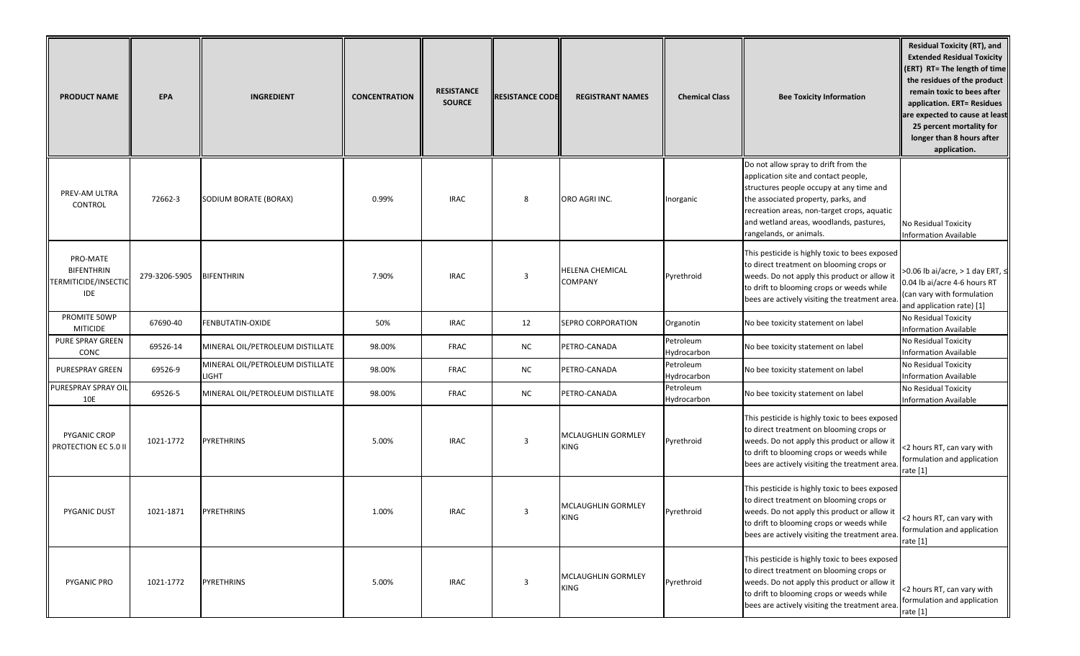| <b>PRODUCT NAME</b>                                          | <b>EPA</b>    | <b>INGREDIENT</b>                         | <b>CONCENTRATION</b> | <b>RESISTANCE</b><br><b>SOURCE</b> | <b>RESISTANCE CODE</b> | <b>REGISTRANT NAMES</b>                  | <b>Chemical Class</b>    | <b>Bee Toxicity Information</b>                                                                                                                                                                                                                                                      | <b>Residual Toxicity (RT), and</b><br><b>Extended Residual Toxicity</b><br>(ERT) RT= The length of time<br>the residues of the product<br>remain toxic to bees after<br>application. ERT= Residues<br>are expected to cause at least<br>25 percent mortality for<br>longer than 8 hours after<br>application. |
|--------------------------------------------------------------|---------------|-------------------------------------------|----------------------|------------------------------------|------------------------|------------------------------------------|--------------------------|--------------------------------------------------------------------------------------------------------------------------------------------------------------------------------------------------------------------------------------------------------------------------------------|---------------------------------------------------------------------------------------------------------------------------------------------------------------------------------------------------------------------------------------------------------------------------------------------------------------|
| PREV-AM ULTRA<br>CONTROL                                     | 72662-3       | SODIUM BORATE (BORAX)                     | 0.99%                | <b>IRAC</b>                        | 8                      | ORO AGRI INC.                            | Inorganic                | Do not allow spray to drift from the<br>application site and contact people,<br>structures people occupy at any time and<br>the associated property, parks, and<br>recreation areas, non-target crops, aquatic<br>and wetland areas, woodlands, pastures,<br>rangelands, or animals. | No Residual Toxicity<br>Information Available                                                                                                                                                                                                                                                                 |
| PRO-MATE<br><b>BIFENTHRIN</b><br>TERMITICIDE/INSECTIC<br>IDE | 279-3206-5905 | BIFENTHRIN                                | 7.90%                | <b>IRAC</b>                        | 3                      | <b>HELENA CHEMICAL</b><br><b>COMPANY</b> | Pyrethroid               | This pesticide is highly toxic to bees exposed<br>to direct treatment on blooming crops or<br>weeds. Do not apply this product or allow it<br>to drift to blooming crops or weeds while<br>bees are actively visiting the treatment area                                             | >0.06 lb ai/acre, > 1 day ERT, ≤<br>0.04 lb ai/acre 4-6 hours RT<br>(can vary with formulation<br>and application rate) [1]                                                                                                                                                                                   |
| PROMITE 50WP<br><b>MITICIDE</b>                              | 67690-40      | <b>FENBUTATIN-OXIDE</b>                   | 50%                  | <b>IRAC</b>                        | 12                     | SEPRO CORPORATION                        | Organotin                | No bee toxicity statement on label                                                                                                                                                                                                                                                   | No Residual Toxicity<br>Information Available                                                                                                                                                                                                                                                                 |
| <b>PURE SPRAY GREEN</b><br>CONC                              | 69526-14      | MINERAL OIL/PETROLEUM DISTILLATE          | 98.00%               | <b>FRAC</b>                        | NC                     | PETRO-CANADA                             | Petroleum<br>Hydrocarbon | No bee toxicity statement on label                                                                                                                                                                                                                                                   | No Residual Toxicity<br><b>Information Available</b>                                                                                                                                                                                                                                                          |
| <b>PURESPRAY GREEN</b>                                       | 69526-9       | MINERAL OIL/PETROLEUM DISTILLATE<br>LIGHT | 98.00%               | <b>FRAC</b>                        | NC                     | PETRO-CANADA                             | Petroleum<br>Hydrocarbon | No bee toxicity statement on label                                                                                                                                                                                                                                                   | No Residual Toxicity<br><b>Information Available</b>                                                                                                                                                                                                                                                          |
| PURESPRAY SPRAY OIL<br>10E                                   | 69526-5       | MINERAL OIL/PETROLEUM DISTILLATE          | 98.00%               | <b>FRAC</b>                        | NC                     | PETRO-CANADA                             | Petroleum<br>Hydrocarbon | No bee toxicity statement on label                                                                                                                                                                                                                                                   | No Residual Toxicity<br><b>Information Available</b>                                                                                                                                                                                                                                                          |
| PYGANIC CROP<br>PROTECTION EC 5.0 II                         | 1021-1772     | PYRETHRINS                                | 5.00%                | <b>IRAC</b>                        | 3                      | MCLAUGHLIN GORMLEY<br>KING               | Pyrethroid               | This pesticide is highly toxic to bees exposed<br>to direct treatment on blooming crops or<br>weeds. Do not apply this product or allow it<br>to drift to blooming crops or weeds while<br>bees are actively visiting the treatment area                                             | <2 hours RT, can vary with<br>formulation and application<br>rate [1]                                                                                                                                                                                                                                         |
| PYGANIC DUST                                                 | 1021-1871     | PYRETHRINS                                | 1.00%                | <b>IRAC</b>                        | 3                      | MCLAUGHLIN GORMLEY<br>KING               | Pyrethroid               | This pesticide is highly toxic to bees exposed<br>to direct treatment on blooming crops or<br>weeds. Do not apply this product or allow it<br>to drift to blooming crops or weeds while<br>bees are actively visiting the treatment area.                                            | <2 hours RT, can vary with<br>formulation and application<br>rate [1]                                                                                                                                                                                                                                         |
| PYGANIC PRO                                                  | 1021-1772     | PYRETHRINS                                | 5.00%                | <b>IRAC</b>                        | 3                      | MCLAUGHLIN GORMLEY<br>KING               | Pyrethroid               | This pesticide is highly toxic to bees exposed<br>to direct treatment on blooming crops or<br>weeds. Do not apply this product or allow it<br>to drift to blooming crops or weeds while<br>bees are actively visiting the treatment area.                                            | <2 hours RT, can vary with<br>formulation and application<br>rate [1]                                                                                                                                                                                                                                         |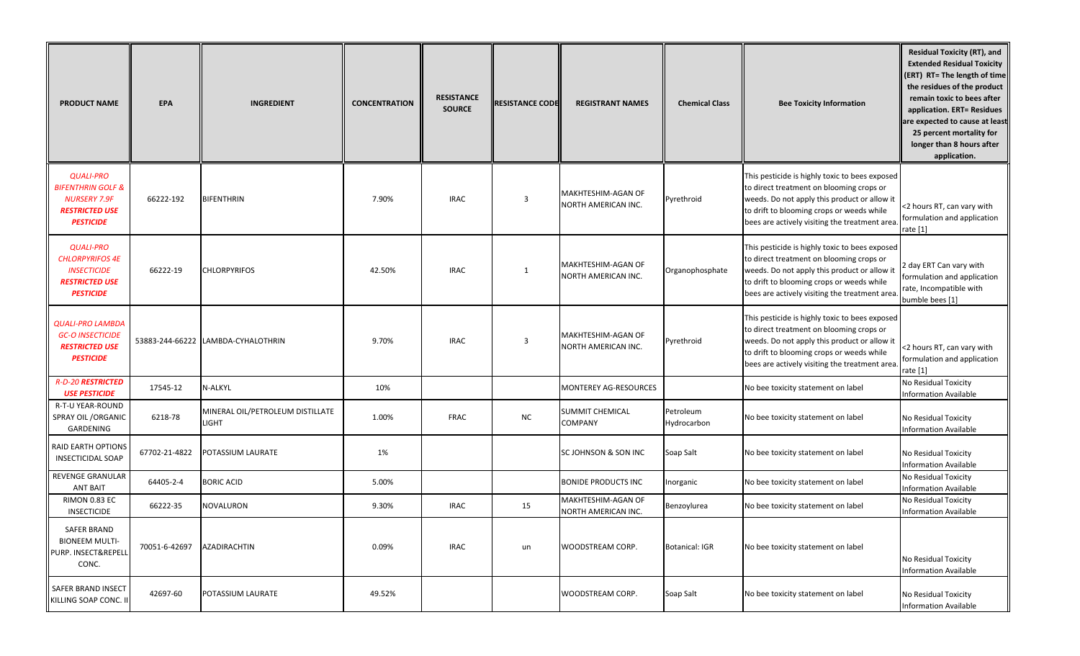| <b>PRODUCT NAME</b>                                                                                           | <b>EPA</b>    | <b>INGREDIENT</b>                                | <b>CONCENTRATION</b> | <b>RESISTANCE</b><br><b>SOURCE</b> | <b>RESISTANCE CODE</b> | <b>REGISTRANT NAMES</b>                   | <b>Chemical Class</b>    | <b>Bee Toxicity Information</b>                                                                                                                                                                                                          | <b>Residual Toxicity (RT), and</b><br><b>Extended Residual Toxicity</b><br>(ERT) RT= The length of time<br>the residues of the product<br>remain toxic to bees after<br>application. ERT= Residues<br>are expected to cause at least<br>25 percent mortality for<br>longer than 8 hours after<br>application. |
|---------------------------------------------------------------------------------------------------------------|---------------|--------------------------------------------------|----------------------|------------------------------------|------------------------|-------------------------------------------|--------------------------|------------------------------------------------------------------------------------------------------------------------------------------------------------------------------------------------------------------------------------------|---------------------------------------------------------------------------------------------------------------------------------------------------------------------------------------------------------------------------------------------------------------------------------------------------------------|
| <b>QUALI-PRO</b><br>BIFENTHRIN GOLF &<br><b>NURSERY 7.9F</b><br><b>RESTRICTED USE</b><br><b>PESTICIDE</b>     | 66222-192     | BIFENTHRIN                                       | 7.90%                | <b>IRAC</b>                        | 3                      | MAKHTESHIM-AGAN OF<br>NORTH AMERICAN INC. | Pyrethroid               | This pesticide is highly toxic to bees exposed<br>to direct treatment on blooming crops or<br>weeds. Do not apply this product or allow it<br>to drift to blooming crops or weeds while<br>bees are actively visiting the treatment area | <2 hours RT, can vary with<br>formulation and application<br>rate [1]                                                                                                                                                                                                                                         |
| <b>QUALI-PRO</b><br><b>CHLORPYRIFOS 4E</b><br><b>INSECTICIDE</b><br><b>RESTRICTED USE</b><br><b>PESTICIDE</b> | 66222-19      | <b>CHLORPYRIFOS</b>                              | 42.50%               | <b>IRAC</b>                        | 1                      | MAKHTESHIM-AGAN OF<br>NORTH AMERICAN INC. | Organophosphate          | This pesticide is highly toxic to bees exposed<br>to direct treatment on blooming crops or<br>weeds. Do not apply this product or allow it<br>to drift to blooming crops or weeds while<br>bees are actively visiting the treatment area | 2 day ERT Can vary with<br>formulation and application<br>rate, Incompatible with<br>bumble bees [1]                                                                                                                                                                                                          |
| <b>QUALI-PRO LAMBDA</b><br><b>GC-O INSECTICIDE</b><br><b>RESTRICTED USE</b><br><b>PESTICIDE</b>               |               | 53883-244-66222 LAMBDA-CYHALOTHRIN               | 9.70%                | <b>IRAC</b>                        | 3                      | MAKHTESHIM-AGAN OF<br>NORTH AMERICAN INC. | Pyrethroid               | This pesticide is highly toxic to bees exposed<br>to direct treatment on blooming crops or<br>weeds. Do not apply this product or allow it<br>to drift to blooming crops or weeds while<br>bees are actively visiting the treatment area | <2 hours RT, can vary with<br>formulation and application<br>rate [1]                                                                                                                                                                                                                                         |
| <b>R-D-20 RESTRICTED</b><br><b>USE PESTICIDE</b>                                                              | 17545-12      | N-ALKYL                                          | 10%                  |                                    |                        | MONTEREY AG-RESOURCES                     |                          | No bee toxicity statement on label                                                                                                                                                                                                       | No Residual Toxicity<br>Information Available                                                                                                                                                                                                                                                                 |
| R-T-U YEAR-ROUND<br>SPRAY OIL / ORGANIC<br>GARDENING                                                          | 6218-78       | MINERAL OIL/PETROLEUM DISTILLATE<br><b>LIGHT</b> | 1.00%                | <b>FRAC</b>                        | <b>NC</b>              | <b>SUMMIT CHEMICAL</b><br><b>COMPANY</b>  | Petroleum<br>Hydrocarbon | No bee toxicity statement on label                                                                                                                                                                                                       | No Residual Toxicity<br>Information Available                                                                                                                                                                                                                                                                 |
| <b>RAID EARTH OPTIONS</b><br><b>INSECTICIDAL SOAP</b>                                                         | 67702-21-4822 | POTASSIUM LAURATE                                | 1%                   |                                    |                        | SC JOHNSON & SON INC                      | Soap Salt                | No bee toxicity statement on label                                                                                                                                                                                                       | No Residual Toxicity<br>Information Available                                                                                                                                                                                                                                                                 |
| REVENGE GRANULAR<br><b>ANT BAIT</b>                                                                           | 64405-2-4     | <b>BORIC ACID</b>                                | 5.00%                |                                    |                        | <b>BONIDE PRODUCTS INC</b>                | Inorganic                | No bee toxicity statement on label                                                                                                                                                                                                       | No Residual Toxicity<br>Information Available                                                                                                                                                                                                                                                                 |
| RIMON 0.83 EC<br><b>INSECTICIDE</b>                                                                           | 66222-35      | <b>NOVALURON</b>                                 | 9.30%                | <b>IRAC</b>                        | 15                     | MAKHTESHIM-AGAN OF<br>NORTH AMERICAN INC. | Benzoylurea              | No bee toxicity statement on label                                                                                                                                                                                                       | No Residual Toxicity<br>Information Available                                                                                                                                                                                                                                                                 |
| <b>SAFER BRAND</b><br><b>BIONEEM MULTI-</b><br>PURP. INSECT&REPELL<br>CONC.                                   | 70051-6-42697 | AZADIRACHTIN                                     | 0.09%                | <b>IRAC</b>                        | un                     | <b>WOODSTREAM CORP.</b>                   | Botanical: IGR           | No bee toxicity statement on label                                                                                                                                                                                                       | No Residual Toxicity<br>Information Available                                                                                                                                                                                                                                                                 |
| SAFER BRAND INSECT<br>KILLING SOAP CONC. II                                                                   | 42697-60      | <b>POTASSIUM LAURATE</b>                         | 49.52%               |                                    |                        | WOODSTREAM CORP.                          | Soap Salt                | No bee toxicity statement on label                                                                                                                                                                                                       | No Residual Toxicity<br><b>Information Available</b>                                                                                                                                                                                                                                                          |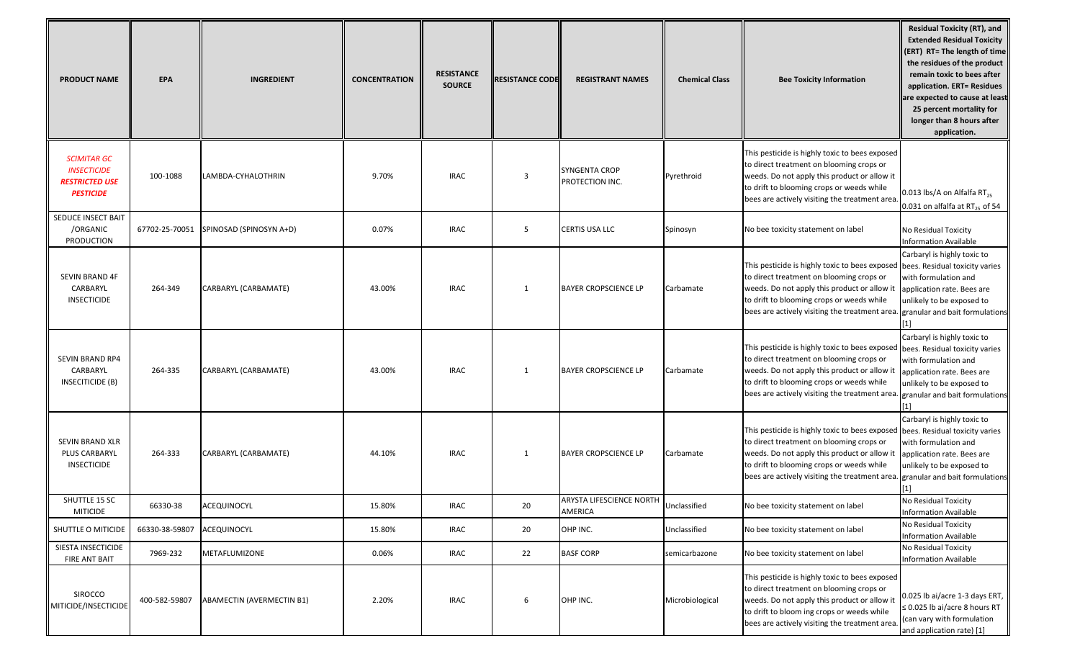| <b>PRODUCT NAME</b>                                                                   | <b>EPA</b>     | <b>INGREDIENT</b>         | <b>CONCENTRATION</b> | <b>RESISTANCE</b><br><b>SOURCE</b> | <b>RESISTANCE CODE</b>  | <b>REGISTRANT NAMES</b>                 | <b>Chemical Class</b> | <b>Bee Toxicity Information</b>                                                                                                                                                                                                           | <b>Residual Toxicity (RT), and</b><br><b>Extended Residual Toxicity</b><br>(ERT) RT= The length of time<br>the residues of the product<br>remain toxic to bees after<br>application. ERT= Residues<br>are expected to cause at least<br>25 percent mortality for<br>longer than 8 hours after<br>application. |
|---------------------------------------------------------------------------------------|----------------|---------------------------|----------------------|------------------------------------|-------------------------|-----------------------------------------|-----------------------|-------------------------------------------------------------------------------------------------------------------------------------------------------------------------------------------------------------------------------------------|---------------------------------------------------------------------------------------------------------------------------------------------------------------------------------------------------------------------------------------------------------------------------------------------------------------|
| <b>SCIMITAR GC</b><br><b>INSECTICIDE</b><br><b>RESTRICTED USE</b><br><b>PESTICIDE</b> | 100-1088       | LAMBDA-CYHALOTHRIN        | 9.70%                | <b>IRAC</b>                        | $\overline{\mathbf{3}}$ | <b>SYNGENTA CROP</b><br>PROTECTION INC. | Pyrethroid            | This pesticide is highly toxic to bees exposed<br>to direct treatment on blooming crops or<br>weeds. Do not apply this product or allow it<br>to drift to blooming crops or weeds while<br>bees are actively visiting the treatment area. | 0.013 lbs/A on Alfalfa RT <sub>25</sub><br>$0.031$ on alfalfa at RT <sub>25</sub> of 54                                                                                                                                                                                                                       |
| SEDUCE INSECT BAIT<br>/ORGANIC<br><b>PRODUCTION</b>                                   | 67702-25-70051 | SPINOSAD (SPINOSYN A+D)   | 0.07%                | <b>IRAC</b>                        | 5                       | <b>CERTIS USA LLC</b>                   | Spinosyn              | No bee toxicity statement on label                                                                                                                                                                                                        | No Residual Toxicity<br><b>Information Available</b>                                                                                                                                                                                                                                                          |
| SEVIN BRAND 4F<br>CARBARYL<br><b>INSECTICIDE</b>                                      | 264-349        | CARBARYL (CARBAMATE)      | 43.00%               | <b>IRAC</b>                        | 1                       | <b>BAYER CROPSCIENCE LP</b>             | Carbamate             | This pesticide is highly toxic to bees exposed<br>to direct treatment on blooming crops or<br>weeds. Do not apply this product or allow it<br>to drift to blooming crops or weeds while<br>bees are actively visiting the treatment area  | Carbaryl is highly toxic to<br>bees. Residual toxicity varies<br>with formulation and<br>application rate. Bees are<br>unlikely to be exposed to<br>granular and bait formulations                                                                                                                            |
| SEVIN BRAND RP4<br>CARBARYL<br>INSECITICIDE (B)                                       | 264-335        | CARBARYL (CARBAMATE)      | 43.00%               | <b>IRAC</b>                        | 1                       | <b>BAYER CROPSCIENCE LP</b>             | Carbamate             | This pesticide is highly toxic to bees exposed<br>to direct treatment on blooming crops or<br>weeds. Do not apply this product or allow it<br>to drift to blooming crops or weeds while<br>bees are actively visiting the treatment area  | Carbaryl is highly toxic to<br>bees. Residual toxicity varies<br>with formulation and<br>application rate. Bees are<br>unlikely to be exposed to<br>granular and bait formulations                                                                                                                            |
| <b>SEVIN BRAND XLR</b><br>PLUS CARBARYL<br><b>INSECTICIDE</b>                         | 264-333        | CARBARYL (CARBAMATE)      | 44.10%               | <b>IRAC</b>                        | 1                       | <b>BAYER CROPSCIENCE LP</b>             | Carbamate             | This pesticide is highly toxic to bees exposed<br>to direct treatment on blooming crops or<br>weeds. Do not apply this product or allow it<br>to drift to blooming crops or weeds while<br>bees are actively visiting the treatment area  | Carbaryl is highly toxic to<br>bees. Residual toxicity varies<br>with formulation and<br>application rate. Bees are<br>unlikely to be exposed to<br>granular and bait formulations                                                                                                                            |
| SHUTTLE 15 SC<br><b>MITICIDE</b>                                                      | 66330-38       | ACEQUINOCYL               | 15.80%               | <b>IRAC</b>                        | 20                      | ARYSTA LIFESCIENCE NORTH<br>AMERICA     | Unclassified          | No bee toxicity statement on label                                                                                                                                                                                                        | No Residual Toxicity<br><b>Information Available</b>                                                                                                                                                                                                                                                          |
| SHUTTLE O MITICIDE                                                                    | 66330-38-59807 | ACEQUINOCYL               | 15.80%               | IRAC                               | 20                      | OHP INC.                                | Unclassified          | No bee toxicity statement on label                                                                                                                                                                                                        | No Residual Toxicity<br><b>Information Available</b>                                                                                                                                                                                                                                                          |
| SIESTA INSECTICIDE<br>FIRE ANT BAIT                                                   | 7969-232       | METAFLUMIZONE             | 0.06%                | <b>IRAC</b>                        | 22                      | <b>BASF CORP</b>                        | semicarbazone         | No bee toxicity statement on label                                                                                                                                                                                                        | No Residual Toxicity<br><b>Information Available</b>                                                                                                                                                                                                                                                          |
| <b>SIROCCO</b><br>MITICIDE/INSECTICIDE                                                | 400-582-59807  | ABAMECTIN (AVERMECTIN B1) | 2.20%                | IRAC                               | 6                       | OHP INC.                                | Microbiological       | This pesticide is highly toxic to bees exposed<br>to direct treatment on blooming crops or<br>weeds. Do not apply this product or allow it<br>to drift to bloom ing crops or weeds while<br>bees are actively visiting the treatment area | 0.025 lb ai/acre 1-3 days ERT,<br>$\leq$ 0.025 lb ai/acre 8 hours RT<br>(can vary with formulation<br>and application rate) [1]                                                                                                                                                                               |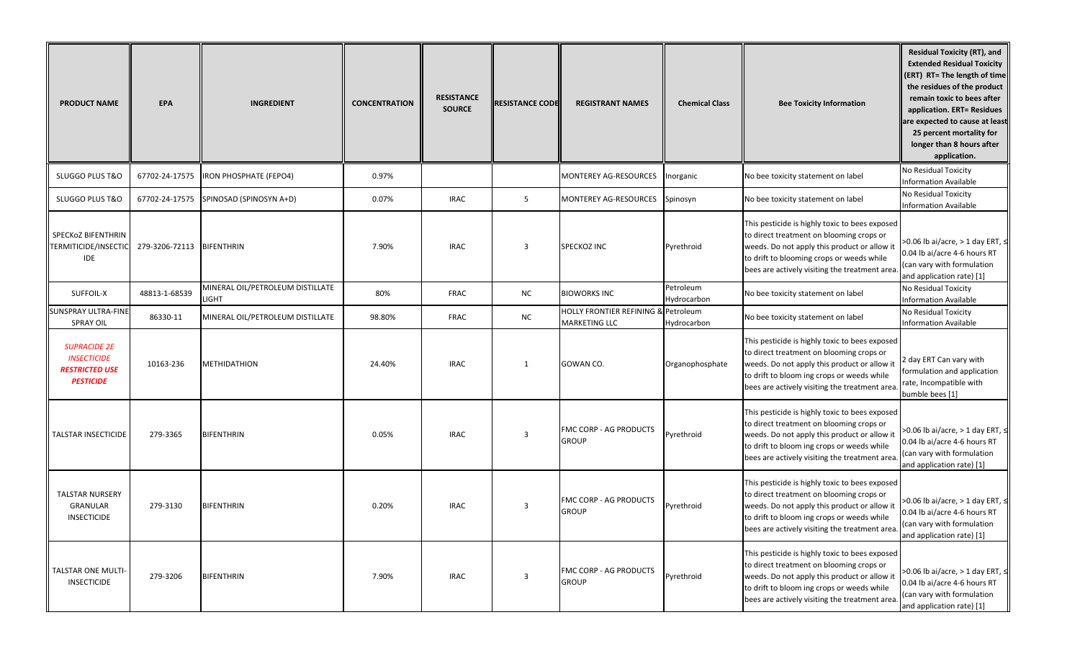| <b>PRODUCT NAME</b>                                                                           | <b>EPA</b>                  | <b>INGREDIENT</b>                         | <b>CONCENTRATION</b> | <b>RESISTANCE</b><br><b>SOURCE</b> | <b>RESISTANCE CODE</b> | <b>REGISTRANT NAMES</b>                              | <b>Chemical Class</b>    | <b>Bee Toxicity Information</b>                                                                                                                                                                                                            | <b>Residual Toxicity (RT), and</b><br><b>Extended Residual Toxicity</b><br>(ERT) RT= The length of time<br>the residues of the product<br>remain toxic to bees after<br>application. ERT= Residues<br>are expected to cause at least<br>25 percent mortality for<br>longer than 8 hours after<br>application. |
|-----------------------------------------------------------------------------------------------|-----------------------------|-------------------------------------------|----------------------|------------------------------------|------------------------|------------------------------------------------------|--------------------------|--------------------------------------------------------------------------------------------------------------------------------------------------------------------------------------------------------------------------------------------|---------------------------------------------------------------------------------------------------------------------------------------------------------------------------------------------------------------------------------------------------------------------------------------------------------------|
| SLUGGO PLUS T&O                                                                               | 67702-24-17575              | <b>IRON PHOSPHATE (FEPO4)</b>             | 0.97%                |                                    |                        | MONTEREY AG-RESOURCES                                | norganic                 | No bee toxicity statement on label                                                                                                                                                                                                         | No Residual Toxicity<br><b>Information Available</b>                                                                                                                                                                                                                                                          |
| SLUGGO PLUS T&O                                                                               | 67702-24-17575              | SPINOSAD (SPINOSYN A+D)                   | 0.07%                | <b>IRAC</b>                        | 5                      | MONTEREY AG-RESOURCES                                | Spinosyn                 | No bee toxicity statement on label                                                                                                                                                                                                         | No Residual Toxicity<br><b>Information Available</b>                                                                                                                                                                                                                                                          |
| <b>SPECKOZ BIFENTHRIN</b><br><b>TERMITICIDE/INSECTIC</b><br>IDE                               | 279-3206-72113   BIFENTHRIN |                                           | 7.90%                | <b>IRAC</b>                        | 3                      | <b>SPECKOZ INC</b>                                   | Pyrethroid               | This pesticide is highly toxic to bees exposed<br>to direct treatment on blooming crops or<br>weeds. Do not apply this product or allow it<br>to drift to blooming crops or weeds while<br>bees are actively visiting the treatment area   | >0.06 lb ai/acre, > 1 day ERT, ≤<br>0.04 lb ai/acre 4-6 hours RT<br>(can vary with formulation<br>and application rate) [1]                                                                                                                                                                                   |
| SUFFOIL-X                                                                                     | 48813-1-68539               | MINERAL OIL/PETROLEUM DISTILLATE<br>LIGHT | 80%                  | <b>FRAC</b>                        | NC                     | <b>BIOWORKS INC</b>                                  | Petroleum<br>Hydrocarbon | No bee toxicity statement on label                                                                                                                                                                                                         | No Residual Toxicity<br>Information Available                                                                                                                                                                                                                                                                 |
| <b>SUNSPRAY ULTRA-FINE</b><br><b>SPRAY OIL</b>                                                | 86330-11                    | MINERAL OIL/PETROLEUM DISTILLATE          | 98.80%               | FRAC                               | <b>NC</b>              | HOLLY FRONTIER REFINING & Petroleum<br>MARKETING LLC | Hydrocarbon              | No bee toxicity statement on label                                                                                                                                                                                                         | No Residual Toxicity<br><b>Information Available</b>                                                                                                                                                                                                                                                          |
| <b>SUPRACIDE 2E</b><br><b>INSECTICIDE</b><br><i><b>RESTRICTED USE</b></i><br><b>PESTICIDE</b> | 10163-236                   | METHIDATHION                              | 24.40%               | <b>IRAC</b>                        | 1                      | GOWAN CO.                                            | Organophosphate          | This pesticide is highly toxic to bees exposed<br>to direct treatment on blooming crops or<br>weeds. Do not apply this product or allow it<br>to drift to bloom ing crops or weeds while<br>bees are actively visiting the treatment area  | 2 day ERT Can vary with<br>formulation and application<br>rate, Incompatible with<br>bumble bees [1]                                                                                                                                                                                                          |
| TALSTAR INSECTICIDE                                                                           | 279-3365                    | BIFENTHRIN                                | 0.05%                | <b>IRAC</b>                        | 3                      | FMC CORP - AG PRODUCTS<br><b>GROUP</b>               | Pyrethroid               | This pesticide is highly toxic to bees exposed<br>to direct treatment on blooming crops or<br>weeds. Do not apply this product or allow it<br>to drift to bloom ing crops or weeds while<br>bees are actively visiting the treatment area. | >0.06 lb ai/acre, > 1 day ERT, ≤<br>0.04 lb ai/acre 4-6 hours RT<br>(can vary with formulation<br>and application rate) [1]                                                                                                                                                                                   |
| TALSTAR NURSERY<br>GRANULAR<br><b>INSECTICIDE</b>                                             | 279-3130                    | BIFENTHRIN                                | 0.20%                | <b>IRAC</b>                        | $\overline{3}$         | FMC CORP - AG PRODUCTS<br><b>GROUP</b>               | Pyrethroid               | This pesticide is highly toxic to bees exposed<br>to direct treatment on blooming crops or<br>weeds. Do not apply this product or allow it<br>to drift to bloom ing crops or weeds while<br>bees are actively visiting the treatment area. | >0.06 lb ai/acre, > 1 day ERT, ≤<br>0.04 lb ai/acre 4-6 hours RT<br>(can vary with formulation<br>and application rate) [1]                                                                                                                                                                                   |
| TALSTAR ONE MULTI-<br><b>INSECTICIDE</b>                                                      | 279-3206                    | BIFENTHRIN                                | 7.90%                | <b>IRAC</b>                        | $\overline{3}$         | FMC CORP - AG PRODUCTS<br><b>GROUP</b>               | Pyrethroid               | This pesticide is highly toxic to bees exposed<br>to direct treatment on blooming crops or<br>weeds. Do not apply this product or allow it<br>to drift to bloom ing crops or weeds while<br>bees are actively visiting the treatment area. | >0.06 lb ai/acre, > 1 day ERT, ≤<br>0.04 lb ai/acre 4-6 hours RT<br>(can vary with formulation<br>and application rate) [1]                                                                                                                                                                                   |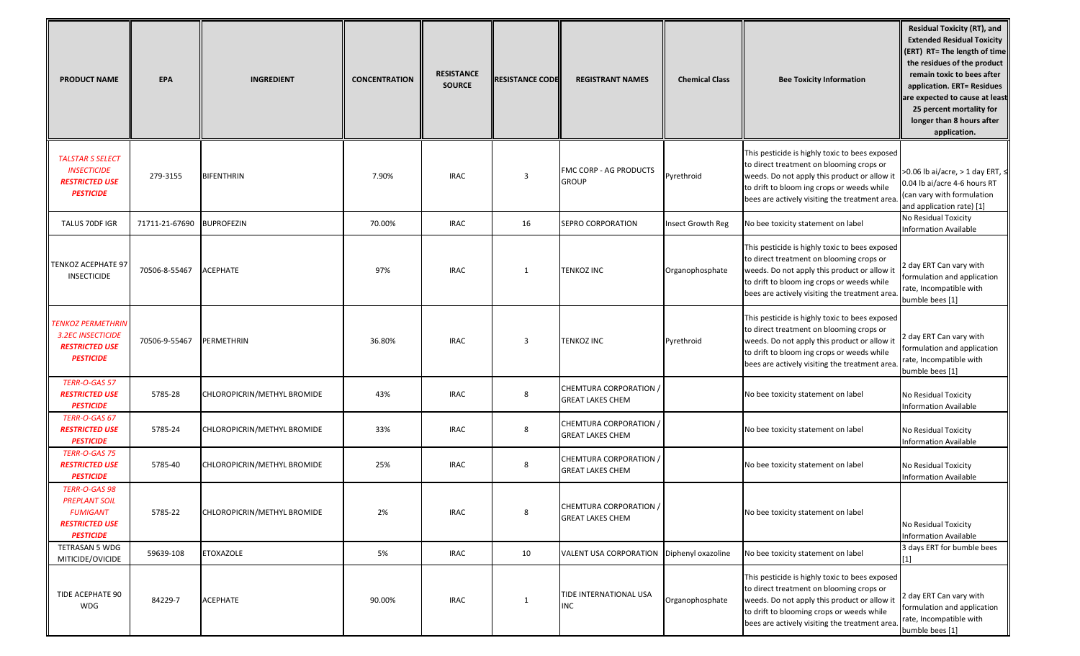| <b>PRODUCT NAME</b>                                                                                   | <b>EPA</b>     | <b>INGREDIENT</b>           | <b>CONCENTRATION</b> | <b>RESISTANCE</b><br><b>SOURCE</b> | <b>RESISTANCE CODE</b> | <b>REGISTRANT NAMES</b>                                  | <b>Chemical Class</b>    | <b>Bee Toxicity Information</b>                                                                                                                                                                                                            | <b>Residual Toxicity (RT), and</b><br><b>Extended Residual Toxicity</b><br>(ERT) RT= The length of time<br>the residues of the product<br>remain toxic to bees after<br>application. ERT= Residues<br>are expected to cause at least<br>25 percent mortality for<br>longer than 8 hours after<br>application. |
|-------------------------------------------------------------------------------------------------------|----------------|-----------------------------|----------------------|------------------------------------|------------------------|----------------------------------------------------------|--------------------------|--------------------------------------------------------------------------------------------------------------------------------------------------------------------------------------------------------------------------------------------|---------------------------------------------------------------------------------------------------------------------------------------------------------------------------------------------------------------------------------------------------------------------------------------------------------------|
| <b>TALSTAR S SELECT</b><br><b>INSECTICIDE</b><br><b>RESTRICTED USE</b><br><b>PESTICIDE</b>            | 279-3155       | BIFENTHRIN                  | 7.90%                | <b>IRAC</b>                        | $\overline{3}$         | FMC CORP - AG PRODUCTS<br><b>GROUP</b>                   | Pyrethroid               | This pesticide is highly toxic to bees exposed<br>to direct treatment on blooming crops or<br>weeds. Do not apply this product or allow it<br>to drift to bloom ing crops or weeds while<br>bees are actively visiting the treatment area. | >0.06 lb ai/acre, > 1 day ERT, ≤<br>0.04 lb ai/acre 4-6 hours RT<br>(can vary with formulation<br>and application rate) [1]                                                                                                                                                                                   |
| TALUS 70DF IGR                                                                                        | 71711-21-67690 | <b>BUPROFEZIN</b>           | 70.00%               | <b>IRAC</b>                        | 16                     | <b>SEPRO CORPORATION</b>                                 | <b>Insect Growth Reg</b> | No bee toxicity statement on label                                                                                                                                                                                                         | No Residual Toxicity<br>Information Available                                                                                                                                                                                                                                                                 |
| <b>FENKOZ ACEPHATE 97</b><br><b>INSECTICIDE</b>                                                       | 70506-8-55467  | ACEPHATE                    | 97%                  | <b>IRAC</b>                        | 1                      | <b>TENKOZ INC</b>                                        | Organophosphate          | This pesticide is highly toxic to bees exposed<br>to direct treatment on blooming crops or<br>weeds. Do not apply this product or allow it<br>to drift to bloom ing crops or weeds while<br>bees are actively visiting the treatment area  | 2 day ERT Can vary with<br>formulation and application<br>rate, Incompatible with<br>bumble bees [1]                                                                                                                                                                                                          |
| <b>ENKOZ PERMETHRIN</b><br>3.2EC INSECTICIDE<br><b>RESTRICTED USE</b><br><b>PESTICIDE</b>             | 70506-9-55467  | PERMETHRIN                  | 36.80%               | <b>IRAC</b>                        | 3                      | <b>TENKOZ INC</b>                                        | Pyrethroid               | This pesticide is highly toxic to bees exposed<br>to direct treatment on blooming crops or<br>weeds. Do not apply this product or allow it<br>to drift to bloom ing crops or weeds while<br>bees are actively visiting the treatment area  | 2 day ERT Can vary with<br>formulation and application<br>rate, Incompatible with<br>bumble bees [1]                                                                                                                                                                                                          |
| TERR-O-GAS 57<br><b>RESTRICTED USE</b><br><b>PESTICIDE</b>                                            | 5785-28        | CHLOROPICRIN/METHYL BROMIDE | 43%                  | <b>IRAC</b>                        | 8                      | <b>CHEMTURA CORPORATION /</b><br><b>GREAT LAKES CHEM</b> |                          | No bee toxicity statement on label                                                                                                                                                                                                         | No Residual Toxicity<br>Information Available                                                                                                                                                                                                                                                                 |
| TERR-O-GAS 67<br><b>RESTRICTED USE</b><br><b>PESTICIDE</b>                                            | 5785-24        | CHLOROPICRIN/METHYL BROMIDE | 33%                  | <b>IRAC</b>                        | 8                      | <b>CHEMTURA CORPORATION /</b><br><b>GREAT LAKES CHEM</b> |                          | No bee toxicity statement on label                                                                                                                                                                                                         | No Residual Toxicity<br>Information Available                                                                                                                                                                                                                                                                 |
| TERR-O-GAS 75<br><b>RESTRICTED USE</b><br><b>PESTICIDE</b>                                            | 5785-40        | CHLOROPICRIN/METHYL BROMIDE | 25%                  | <b>IRAC</b>                        | 8                      | CHEMTURA CORPORATION /<br><b>GREAT LAKES CHEM</b>        |                          | No bee toxicity statement on label                                                                                                                                                                                                         | No Residual Toxicity<br>Information Available                                                                                                                                                                                                                                                                 |
| TERR-O-GAS 98<br><b>PREPLANT SOIL</b><br><b>FUMIGANT</b><br><b>RESTRICTED USE</b><br><b>PESTICIDE</b> | 5785-22        | CHLOROPICRIN/METHYL BROMIDE | 2%                   | <b>IRAC</b>                        | 8                      | CHEMTURA CORPORATION /<br><b>GREAT LAKES CHEM</b>        |                          | No bee toxicity statement on label                                                                                                                                                                                                         | No Residual Toxicity<br>Information Available                                                                                                                                                                                                                                                                 |
| TETRASAN 5 WDG<br>MITICIDE/OVICIDE                                                                    | 59639-108      | <b>ETOXAZOLE</b>            | 5%                   | <b>IRAC</b>                        | 10                     | VALENT USA CORPORATION Diphenyl oxazoline                |                          | No bee toxicity statement on label                                                                                                                                                                                                         | 3 days ERT for bumble bees<br>$\lceil 1 \rceil$                                                                                                                                                                                                                                                               |
| TIDE ACEPHATE 90<br>WDG                                                                               | 84229-7        | ACEPHATE                    | 90.00%               | <b>IRAC</b>                        | $\mathbf{1}$           | TIDE INTERNATIONAL USA<br>INC                            | Organophosphate          | This pesticide is highly toxic to bees exposed<br>to direct treatment on blooming crops or<br>weeds. Do not apply this product or allow it<br>to drift to blooming crops or weeds while<br>bees are actively visiting the treatment area.  | 2 day ERT Can vary with<br>formulation and application<br>rate, Incompatible with<br>bumble bees [1]                                                                                                                                                                                                          |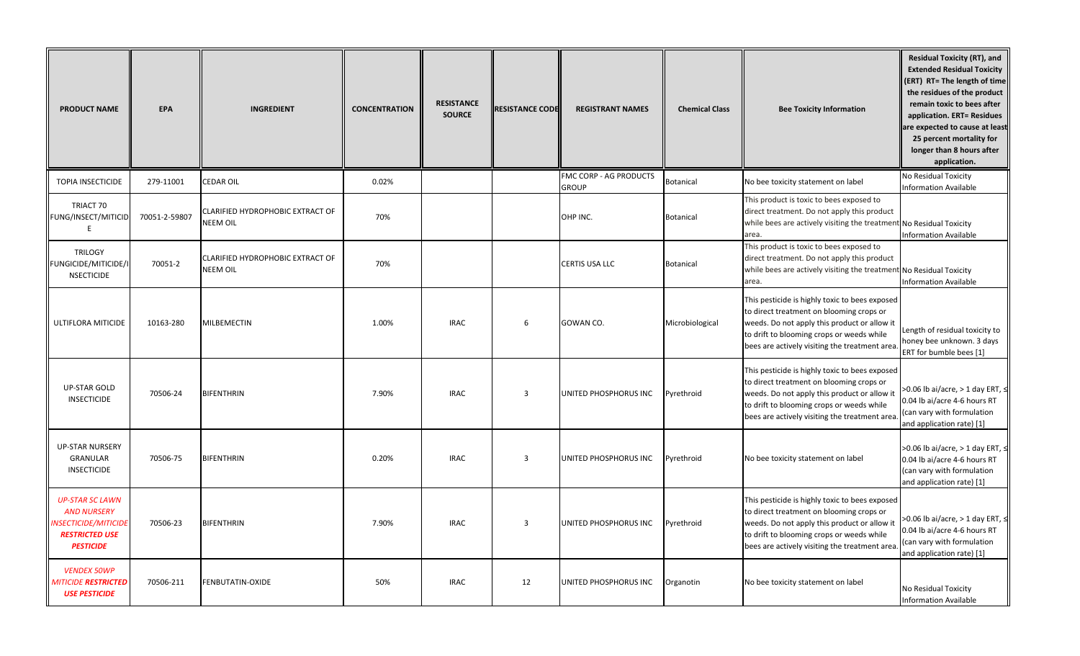| <b>PRODUCT NAME</b>                                                                                                     | <b>EPA</b>    | <b>INGREDIENT</b>                                          | <b>CONCENTRATION</b> | <b>RESISTANCE</b><br><b>SOURCE</b> | <b>RESISTANCE CODE</b> | <b>REGISTRANT NAMES</b>                | <b>Chemical Class</b> | <b>Bee Toxicity Information</b>                                                                                                                                                                                                          | <b>Residual Toxicity (RT), and</b><br><b>Extended Residual Toxicity</b><br>(ERT) RT= The length of time<br>the residues of the product<br>remain toxic to bees after<br>application. ERT= Residues<br>are expected to cause at least<br>25 percent mortality for<br>longer than 8 hours after<br>application. |
|-------------------------------------------------------------------------------------------------------------------------|---------------|------------------------------------------------------------|----------------------|------------------------------------|------------------------|----------------------------------------|-----------------------|------------------------------------------------------------------------------------------------------------------------------------------------------------------------------------------------------------------------------------------|---------------------------------------------------------------------------------------------------------------------------------------------------------------------------------------------------------------------------------------------------------------------------------------------------------------|
| TOPIA INSECTICIDE                                                                                                       | 279-11001     | <b>CEDAR OIL</b>                                           | 0.02%                |                                    |                        | FMC CORP - AG PRODUCTS<br><b>GROUP</b> | Botanical             | No bee toxicity statement on label                                                                                                                                                                                                       | No Residual Toxicity<br>Information Available                                                                                                                                                                                                                                                                 |
| TRIACT 70<br>FUNG/INSECT/MITICID<br>E                                                                                   | 70051-2-59807 | CLARIFIED HYDROPHOBIC EXTRACT OF<br><b>NEEM OIL</b>        | 70%                  |                                    |                        | OHP INC.                               | Botanical             | This product is toxic to bees exposed to<br>direct treatment. Do not apply this product<br>while bees are actively visiting the treatment No Residual Toxicity<br>area.                                                                  | Information Available                                                                                                                                                                                                                                                                                         |
| <b>TRILOGY</b><br>FUNGICIDE/MITICIDE/I<br><b>NSECTICIDE</b>                                                             | 70051-2       | <b>CLARIFIED HYDROPHOBIC EXTRACT OF</b><br><b>NEEM OIL</b> | 70%                  |                                    |                        | CERTIS USA LLC                         | Botanical             | This product is toxic to bees exposed to<br>direct treatment. Do not apply this product<br>while bees are actively visiting the treatment No Residual Toxicity<br>area.                                                                  | <b>Information Available</b>                                                                                                                                                                                                                                                                                  |
| ULTIFLORA MITICIDE                                                                                                      | 10163-280     | MILBEMECTIN                                                | 1.00%                | <b>IRAC</b>                        | 6                      | GOWAN CO.                              | Microbiological       | This pesticide is highly toxic to bees exposed<br>to direct treatment on blooming crops or<br>weeds. Do not apply this product or allow it<br>to drift to blooming crops or weeds while<br>bees are actively visiting the treatment area | Length of residual toxicity to<br>honey bee unknown. 3 days<br>ERT for bumble bees [1]                                                                                                                                                                                                                        |
| <b>UP-STAR GOLD</b><br><b>INSECTICIDE</b>                                                                               | 70506-24      | BIFENTHRIN                                                 | 7.90%                | <b>IRAC</b>                        | $\overline{3}$         | UNITED PHOSPHORUS INC                  | Pyrethroid            | This pesticide is highly toxic to bees exposed<br>to direct treatment on blooming crops or<br>weeds. Do not apply this product or allow it<br>to drift to blooming crops or weeds while<br>bees are actively visiting the treatment area | >0.06 lb ai/acre, > 1 day ERT, ≤<br>0.04 lb ai/acre 4-6 hours RT<br>(can vary with formulation<br>and application rate) [1]                                                                                                                                                                                   |
| <b>UP-STAR NURSERY</b><br>GRANULAR<br><b>INSECTICIDE</b>                                                                | 70506-75      | BIFENTHRIN                                                 | 0.20%                | <b>IRAC</b>                        | $\overline{3}$         | UNITED PHOSPHORUS INC                  | Pyrethroid            | No bee toxicity statement on label                                                                                                                                                                                                       | >0.06 lb ai/acre, > 1 day ERT, <<br>0.04 lb ai/acre 4-6 hours RT<br>(can vary with formulation<br>and application rate) [1]                                                                                                                                                                                   |
| <b>UP-STAR SC LAWN</b><br><b>AND NURSERY</b><br><b>NSECTICIDE/MITICIDE</b><br><b>RESTRICTED USE</b><br><b>PESTICIDE</b> | 70506-23      | BIFENTHRIN                                                 | 7.90%                | <b>IRAC</b>                        | $\overline{3}$         | UNITED PHOSPHORUS INC                  | Pyrethroid            | This pesticide is highly toxic to bees exposed<br>to direct treatment on blooming crops or<br>weeds. Do not apply this product or allow it<br>to drift to blooming crops or weeds while<br>bees are actively visiting the treatment area | >0.06 lb ai/acre, > 1 day ERT, ≤<br>0.04 lb ai/acre 4-6 hours RT<br>(can vary with formulation<br>and application rate) [1]                                                                                                                                                                                   |
| <b>VENDEX 50WP</b><br><b>MITICIDE RESTRICTED</b><br><b>USE PESTICIDE</b>                                                | 70506-211     | <b>FENBUTATIN-OXIDE</b>                                    | 50%                  | <b>IRAC</b>                        | 12                     | UNITED PHOSPHORUS INC                  | Organotin             | No bee toxicity statement on label                                                                                                                                                                                                       | No Residual Toxicity<br>Information Available                                                                                                                                                                                                                                                                 |